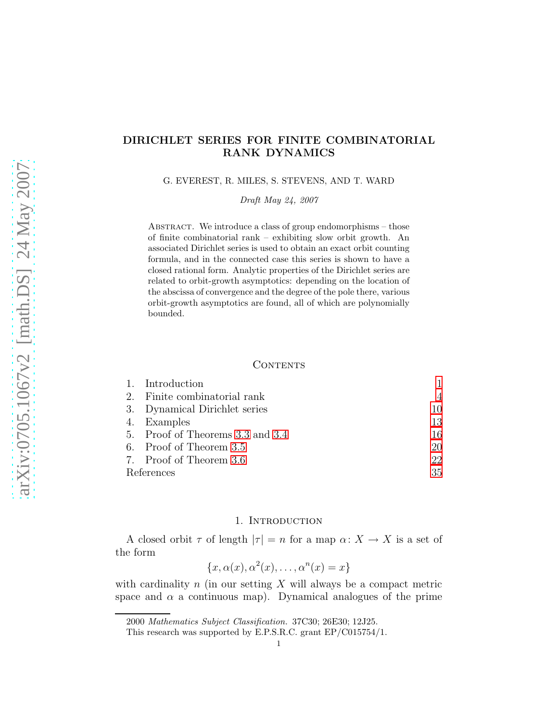# DIRICHLET SERIES FOR FINITE COMBINATORIAL RANK DYNAMICS

G. EVEREST, R. MILES, S. STEVENS, AND T. WARD

Draft May 24, 2007

ABSTRACT. We introduce a class of group endomorphisms  $-$  those of finite combinatorial rank – exhibiting slow orbit growth. An associated Dirichlet series is used to obtain an exact orbit counting formula, and in the connected case this series is shown to have a closed rational form. Analytic properties of the Dirichlet series are related to orbit-growth asymptotics: depending on the location of the abscissa of convergence and the degree of the pole there, various orbit-growth asymptotics are found, all of which are polynomially bounded.

#### **CONTENTS**

|            | 1. Introduction                  |    |
|------------|----------------------------------|----|
|            | 2. Finite combinatorial rank     | 4  |
|            | 3. Dynamical Dirichlet series    | 10 |
|            | 4. Examples                      | 13 |
|            | 5. Proof of Theorems 3.3 and 3.4 | 16 |
|            | 6. Proof of Theorem 3.5          | 20 |
|            | 7. Proof of Theorem 3.6          | 22 |
| References |                                  | 35 |

### 1. Introduction

<span id="page-0-0"></span>A closed orbit  $\tau$  of length  $|\tau| = n$  for a map  $\alpha: X \to X$  is a set of the form

$$
\{x, \alpha(x), \alpha^2(x), \dots, \alpha^n(x) = x\}
$$

with cardinality  $n$  (in our setting  $X$  will always be a compact metric space and  $\alpha$  a continuous map). Dynamical analogues of the prime

<sup>2000</sup> Mathematics Subject Classification. 37C30; 26E30; 12J25.

This research was supported by E.P.S.R.C. grant EP/C015754/1.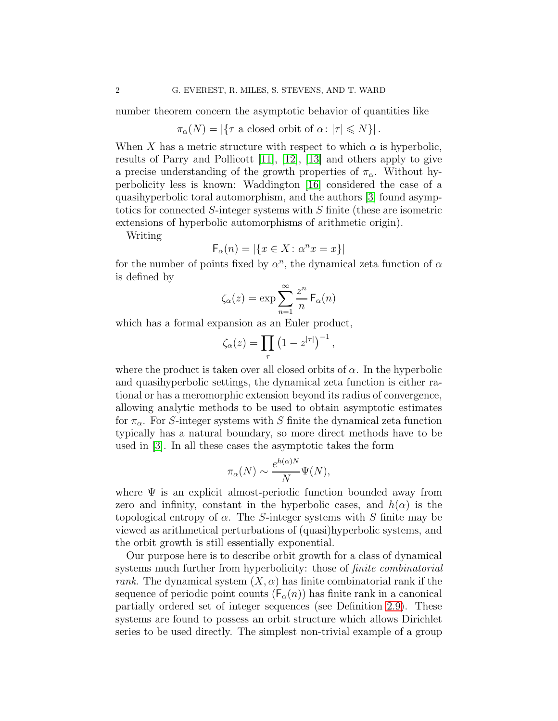number theorem concern the asymptotic behavior of quantities like

$$
\pi_{\alpha}(N) = |\{\tau \text{ a closed orbit of } \alpha \colon |\tau| \leq N\}|.
$$

When X has a metric structure with respect to which  $\alpha$  is hyperbolic, results of Parry and Pollicott [\[11\]](#page-34-1), [\[12\]](#page-34-2), [\[13\]](#page-35-0) and others apply to give a precise understanding of the growth properties of  $\pi_{\alpha}$ . Without hyperbolicity less is known: Waddington [\[16\]](#page-35-1) considered the case of a quasihyperbolic toral automorphism, and the authors [\[3\]](#page-34-3) found asymptotics for connected S-integer systems with S finite (these are isometric extensions of hyperbolic automorphisms of arithmetic origin).

Writing

$$
\mathsf{F}_{\alpha}(n) = |\{x \in X \colon \alpha^n x = x\}|
$$

for the number of points fixed by  $\alpha^n$ , the dynamical zeta function of  $\alpha$ is defined by

$$
\zeta_{\alpha}(z) = \exp \sum_{n=1}^{\infty} \frac{z^n}{n} F_{\alpha}(n)
$$

which has a formal expansion as an Euler product,

$$
\zeta_{\alpha}(z) = \prod_{\tau} \left(1 - z^{|\tau|}\right)^{-1},\,
$$

where the product is taken over all closed orbits of  $\alpha$ . In the hyperbolic and quasihyperbolic settings, the dynamical zeta function is either rational or has a meromorphic extension beyond its radius of convergence, allowing analytic methods to be used to obtain asymptotic estimates for  $\pi_{\alpha}$ . For S-integer systems with S finite the dynamical zeta function typically has a natural boundary, so more direct methods have to be used in [\[3\]](#page-34-3). In all these cases the asymptotic takes the form

$$
\pi_{\alpha}(N) \sim \frac{e^{h(\alpha)N}}{N} \Psi(N),
$$

where  $\Psi$  is an explicit almost-periodic function bounded away from zero and infinity, constant in the hyperbolic cases, and  $h(\alpha)$  is the topological entropy of  $\alpha$ . The S-integer systems with S finite may be viewed as arithmetical perturbations of (quasi)hyperbolic systems, and the orbit growth is still essentially exponential.

Our purpose here is to describe orbit growth for a class of dynamical systems much further from hyperbolicity: those of *finite combinatorial* rank. The dynamical system  $(X, \alpha)$  has finite combinatorial rank if the sequence of periodic point counts  $(F_{\alpha}(n))$  has finite rank in a canonical partially ordered set of integer sequences (see Definition [2.9\)](#page-8-0). These systems are found to possess an orbit structure which allows Dirichlet series to be used directly. The simplest non-trivial example of a group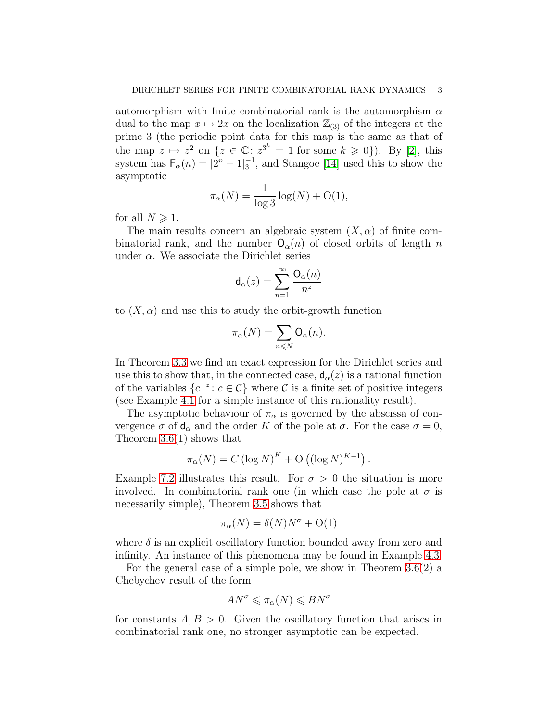automorphism with finite combinatorial rank is the automorphism  $\alpha$ dual to the map  $x \mapsto 2x$  on the localization  $\mathbb{Z}_{(3)}$  of the integers at the prime 3 (the periodic point data for this map is the same as that of the map  $z \mapsto z^2$  on  $\{z \in \mathbb{C} : z^{3^k} = 1 \text{ for some } k \geq 0\}$ ). By [\[2\]](#page-34-4), this system has  $F_{\alpha}(n) = |2^{n} - 1|_3^{-1}$ , and Stangoe [\[14\]](#page-35-2) used this to show the asymptotic

$$
\pi_{\alpha}(N) = \frac{1}{\log 3} \log(N) + \mathcal{O}(1),
$$

for all  $N \geqslant 1$ .

The main results concern an algebraic system  $(X, \alpha)$  of finite combinatorial rank, and the number  $O_{\alpha}(n)$  of closed orbits of length n under  $\alpha$ . We associate the Dirichlet series

$$
\mathsf{d}_{\alpha}(z) = \sum_{n=1}^{\infty} \frac{\mathsf{O}_{\alpha}(n)}{n^z}
$$

to  $(X, \alpha)$  and use this to study the orbit-growth function

$$
\pi_{\alpha}(N) = \sum_{n \leq N} \mathsf{O}_{\alpha}(n).
$$

In Theorem [3.3](#page-10-0) we find an exact expression for the Dirichlet series and use this to show that, in the connected case,  $d_{\alpha}(z)$  is a rational function of the variables  $\{c^{-z}: c \in \mathcal{C}\}\$  where  $\mathcal C$  is a finite set of positive integers (see Example [4.1](#page-12-1) for a simple instance of this rationality result).

The asymptotic behaviour of  $\pi_{\alpha}$  is governed by the abscissa of convergence  $\sigma$  of  $d_{\alpha}$  and the order K of the pole at  $\sigma$ . For the case  $\sigma = 0$ , Theorem [3.6\(](#page-11-1)1) shows that

$$
\pi_{\alpha}(N) = C (\log N)^{K} + O ((\log N)^{K-1}).
$$

Example [7.2](#page-23-0) illustrates this result. For  $\sigma > 0$  the situation is more involved. In combinatorial rank one (in which case the pole at  $\sigma$  is necessarily simple), Theorem [3.5](#page-11-0) shows that

$$
\pi_{\alpha}(N) = \delta(N)N^{\sigma} + \mathrm{O}(1)
$$

where  $\delta$  is an explicit oscillatory function bounded away from zero and infinity. An instance of this phenomena may be found in Example [4.3.](#page-13-0)

For the general case of a simple pole, we show in Theorem [3.6\(](#page-11-1)2) a Chebychev result of the form

$$
AN^{\sigma} \leqslant \pi_{\alpha}(N) \leqslant BN^{\sigma}
$$

for constants  $A, B > 0$ . Given the oscillatory function that arises in combinatorial rank one, no stronger asymptotic can be expected.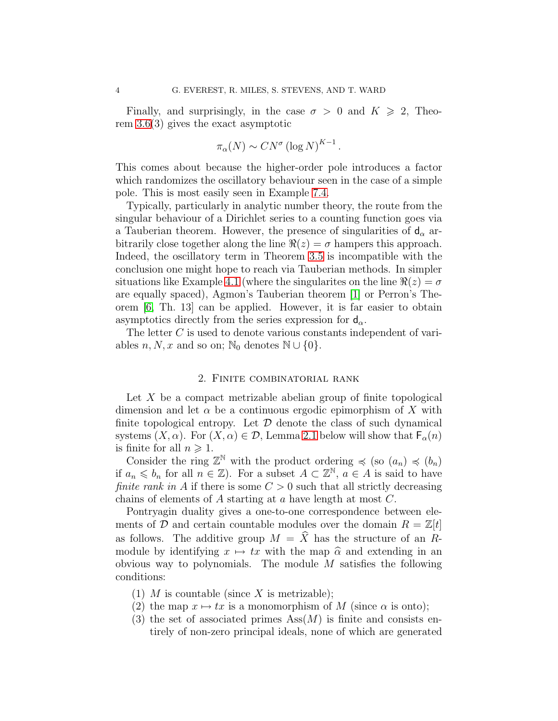Finally, and surprisingly, in the case  $\sigma > 0$  and  $K \geq 2$ , Theorem [3.6\(](#page-11-1)3) gives the exact asymptotic

$$
\pi_{\alpha}(N) \sim CN^{\sigma} (\log N)^{K-1}.
$$

This comes about because the higher-order pole introduces a factor which randomizes the oscillatory behaviour seen in the case of a simple pole. This is most easily seen in Example [7.4.](#page-28-0)

Typically, particularly in analytic number theory, the route from the singular behaviour of a Dirichlet series to a counting function goes via a Tauberian theorem. However, the presence of singularities of  $d_{\alpha}$  arbitrarily close together along the line  $\Re(z) = \sigma$  hampers this approach. Indeed, the oscillatory term in Theorem [3.5](#page-11-0) is incompatible with the conclusion one might hope to reach via Tauberian methods. In simpler situations like Example [4.1](#page-12-1) (where the singularites on the line  $\Re(z) = \sigma$ are equally spaced), Agmon's Tauberian theorem [\[1\]](#page-34-5) or Perron's Theorem [\[6,](#page-34-6) Th. 13] can be applied. However, it is far easier to obtain asymptotics directly from the series expression for  $d_{\alpha}$ .

The letter C is used to denote various constants independent of variables  $n, N, x$  and so on; N<sub>0</sub> denotes N ∪ {0}.

### 2. Finite combinatorial rank

<span id="page-3-0"></span>Let  $X$  be a compact metrizable abelian group of finite topological dimension and let  $\alpha$  be a continuous ergodic epimorphism of X with finite topological entropy. Let  $\mathcal D$  denote the class of such dynamical systems  $(X, \alpha)$ . For  $(X, \alpha) \in \mathcal{D}$ , Lemma [2.1](#page-4-0) below will show that  $\mathsf{F}_\alpha(n)$ is finite for all  $n \geqslant 1$ .

Consider the ring  $\mathbb{Z}^{\mathbb{N}}$  with the product ordering  $\preccurlyeq$  (so  $(a_n) \preccurlyeq (b_n)$ ) if  $a_n \leq b_n$  for all  $n \in \mathbb{Z}$ ). For a subset  $A \subset \mathbb{Z}^N$ ,  $a \in A$  is said to have finite rank in A if there is some  $C > 0$  such that all strictly decreasing chains of elements of A starting at a have length at most C.

Pontryagin duality gives a one-to-one correspondence between elements of D and certain countable modules over the domain  $R = \mathbb{Z}[t]$ as follows. The additive group  $M = \hat{X}$  has the structure of an Rmodule by identifying  $x \mapsto tx$  with the map  $\hat{\alpha}$  and extending in an obvious way to polynomials. The module M satisfies the following conditions:

- (1) M is countable (since X is metrizable);
- (2) the map  $x \mapsto tx$  is a monomorphism of M (since  $\alpha$  is onto);
- (3) the set of associated primes  $\text{Ass}(M)$  is finite and consists entirely of non-zero principal ideals, none of which are generated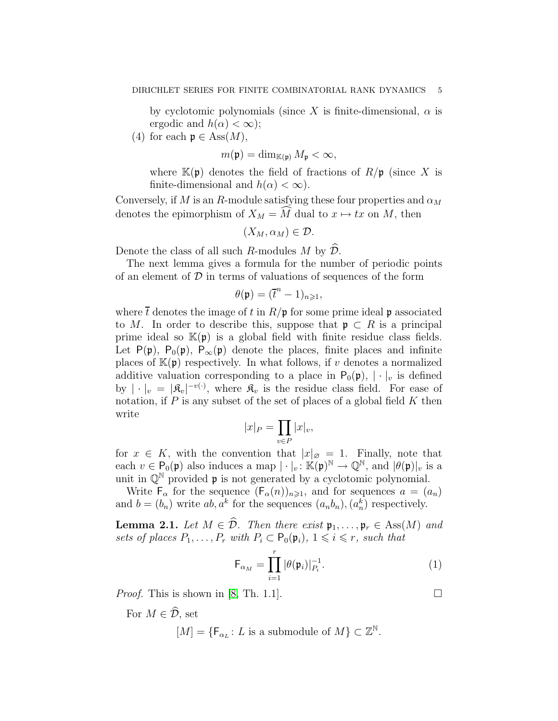by cyclotomic polynomials (since X is finite-dimensional,  $\alpha$  is ergodic and  $h(\alpha) < \infty$ ;

(4) for each  $\mathfrak{p} \in \text{Ass}(M)$ ,

$$
m(\mathfrak{p}) = \dim_{\mathbb{K}(\mathfrak{p})} M_{\mathfrak{p}} < \infty,
$$

where  $\mathbb{K}(\mathfrak{p})$  denotes the field of fractions of  $R/\mathfrak{p}$  (since X is finite-dimensional and  $h(\alpha) < \infty$ ).

Conversely, if M is an R-module satisfying these four properties and  $\alpha_M$ denotes the epimorphism of  $X_M = \widehat{M}$  dual to  $x \mapsto tx$  on M, then

$$
(X_M,\alpha_M)\in\mathcal{D}.
$$

Denote the class of all such R-modules M by  $\widehat{\mathcal{D}}$ .

The next lemma gives a formula for the number of periodic points of an element of  $D$  in terms of valuations of sequences of the form

$$
\theta(\mathfrak{p}) = (\overline{t}^n - 1)_{n \geqslant 1},
$$

where  $\bar{t}$  denotes the image of t in  $R/\mathfrak{p}$  for some prime ideal p associated to M. In order to describe this, suppose that  $\mathfrak{p} \subset R$  is a principal prime ideal so  $\mathbb{K}(\mathfrak{p})$  is a global field with finite residue class fields. Let P(p), P<sub>0</sub>(p), P<sub>∞</sub>(p) denote the places, finite places and infinite places of  $K(\mathfrak{p})$  respectively. In what follows, if v denotes a normalized additive valuation corresponding to a place in  $P_0(\mathfrak{p}), |\cdot|_v$  is defined by  $| \cdot |_v = | \mathfrak{K}_v |^{-v(\cdot)}$ , where  $\mathfrak{K}_v$  is the residue class field. For ease of notation, if  $P$  is any subset of the set of places of a global field  $K$  then write

$$
|x|_P = \prod_{v \in P} |x|_v,
$$

for  $x \in K$ , with the convention that  $|x|_{\varnothing} = 1$ . Finally, note that each  $v \in \mathsf{P}_{0}(\mathfrak{p})$  also induces a map  $|\cdot|_{v} : \mathbb{K}(\mathfrak{p})^{\mathbb{N}} \to \mathbb{Q}^{\mathbb{N}},$  and  $|\theta(\mathfrak{p})|_{v}$  is a unit in  $\mathbb{Q}^{\mathbb{N}}$  provided **p** is not generated by a cyclotomic polynomial.

<span id="page-4-0"></span>Write  $\mathsf{F}_{\alpha}$  for the sequence  $(\mathsf{F}_{\alpha}(n))_{n\geqslant1}$ , and for sequences  $a=(a_n)$ and  $b = (b_n)$  write  $ab, a^k$  for the sequences  $(a_n b_n), (a_n^k)$  respectively.

**Lemma 2.1.** Let  $M \in \widehat{\mathcal{D}}$ . Then there exist  $\mathfrak{p}_1, \ldots, \mathfrak{p}_r \in \text{Ass}(M)$  and sets of places  $P_1, \ldots, P_r$  with  $P_i \subset \mathsf{P}_0(\mathfrak{p}_i), 1 \leq i \leq r$ , such that

<span id="page-4-1"></span>
$$
\mathsf{F}_{\alpha_M} = \prod_{i=1}^r |\theta(\mathfrak{p}_i)|_{P_i}^{-1}.\tag{1}
$$

*Proof.* This is shown in [\[8,](#page-34-7) Th. 1.1].

For  $M \in \widehat{\mathcal{D}}$ , set

 $[M] = \{ \mathsf{F}_{\alpha_L} : L \text{ is a submodule of } M \} \subset \mathbb{Z}^{\mathbb{N}}.$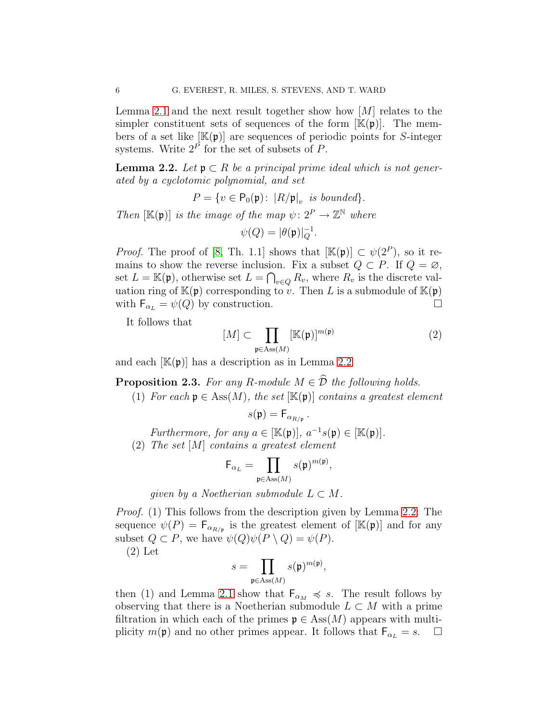Lemma [2.1](#page-4-0) and the next result together show how  $[M]$  relates to the simpler constituent sets of sequences of the form  $[\mathbb{K}(\mathfrak{p})]$ . The members of a set like  $[\mathbb{K}(\mathfrak{p})]$  are sequences of periodic points for S-integer systems. Write  $2^P$  for the set of subsets of P.

<span id="page-5-0"></span>**Lemma 2.2.** Let  $\mathfrak{p} \subset R$  be a principal prime ideal which is not generated by a cyclotomic polynomial, and set

$$
P=\{v\in \mathsf{P}_0(\mathfrak{p})\colon \, |R/\mathfrak{p}|_v \text{ is bounded}\}.
$$

Then  $[\mathbb{K}(\mathfrak{p})]$  is the image of the map  $\psi: 2^P \to \mathbb{Z}^{\mathbb{N}}$  where  $\psi(Q) = |\theta(\mathfrak{p})|_Q^{-1}.$ 

*Proof.* The proof of [\[8,](#page-34-7) Th. 1.1] shows that  $[\mathbb{K}(\mathfrak{p})] \subset \psi(2^P)$ , so it remains to show the reverse inclusion. Fix a subset  $Q \subset P$ . If  $Q = \emptyset$ , set  $L = \mathbb{K}(\mathfrak{p})$ , otherwise set  $L = \bigcap_{v \in Q} R_v$ , where  $R_v$  is the discrete valuation ring of  $\mathbb{K}(\mathfrak{p})$  corresponding to v. Then L is a submodule of  $\mathbb{K}(\mathfrak{p})$ with  $F_{\alpha_L} = \psi(Q)$  by construction.

It follows that

<span id="page-5-1"></span>
$$
[M] \subset \prod_{\mathfrak{p} \in \text{Ass}(M)} [\mathbb{K}(\mathfrak{p})]^{m(\mathfrak{p})} \tag{2}
$$

and each  $[\mathbb{K}(\mathfrak{p})]$  has a description as in Lemma [2.2.](#page-5-0)

**Proposition 2.3.** For any R-module  $M \in \widehat{\mathcal{D}}$  the following holds.

(1) For each  $p \in Ass(M)$ , the set  $[\mathbb{K}(p)]$  contains a greatest element

$$
s(\mathfrak{p}) = \mathsf{F}_{\alpha_{R/\mathfrak{p}}} \, .
$$

Furthermore, for any  $a \in [\mathbb{K}(\mathfrak{p})], a^{-1} s(\mathfrak{p}) \in [\mathbb{K}(\mathfrak{p})].$ 

(2) The set [M] contains a greatest element

$$
\mathsf{F}_{\alpha_L} = \prod_{\mathfrak{p} \in \operatorname{Ass}(M)} s(\mathfrak{p})^{m(\mathfrak{p})},
$$

given by a Noetherian submodule  $L \subset M$ .

Proof. (1) This follows from the description given by Lemma [2.2:](#page-5-0) The sequence  $\psi(P) = \mathsf{F}_{\alpha_{R/\mathfrak{p}}}$  is the greatest element of  $[\mathbb{K}(\mathfrak{p})]$  and for any subset  $Q \subset P$ , we have  $\psi(Q)\psi(P \setminus Q) = \psi(P)$ .

(2) Let

$$
s=\prod_{\mathfrak{p}\in \operatorname{Ass}(M)}s(\mathfrak{p})^{m(\mathfrak{p})},
$$

then (1) and Lemma [2.1](#page-4-0) show that  $F_{\alpha_M} \preccurlyeq s$ . The result follows by observing that there is a Noetherian submodule  $L \subset M$  with a prime filtration in which each of the primes  $\mathfrak{p} \in \text{Ass}(M)$  appears with multiplicity  $m(\mathfrak{p})$  and no other primes appear. It follows that  $\mathsf{F}_{\alpha_L} = s$ .  $\Box$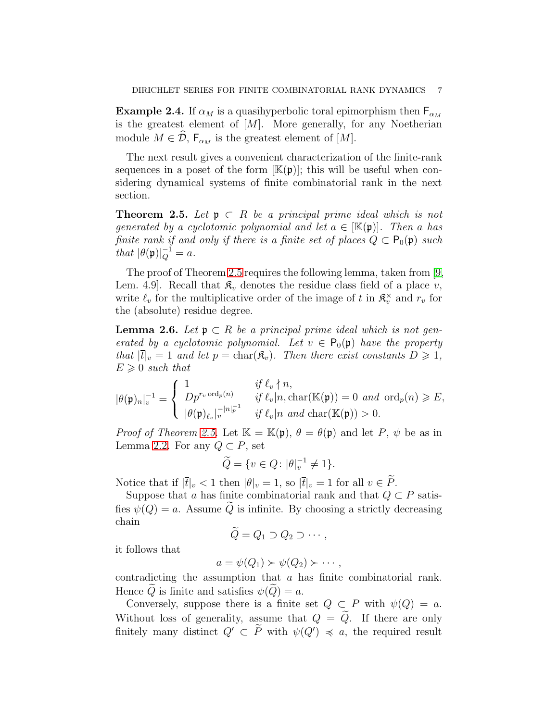**Example 2.4.** If  $\alpha_M$  is a quasihyperbolic toral epimorphism then  $F_{\alpha_M}$ is the greatest element of  $[M]$ . More generally, for any Noetherian module  $M \in \mathcal{D}$ ,  $F_{\alpha_M}$  is the greatest element of [M].

The next result gives a convenient characterization of the finite-rank sequences in a poset of the form  $[\mathbb{K}(\mathfrak{p})]$ ; this will be useful when considering dynamical systems of finite combinatorial rank in the next section.

<span id="page-6-0"></span>**Theorem 2.5.** Let  $\mathfrak{p} \subset R$  be a principal prime ideal which is not generated by a cyclotomic polynomial and let  $a \in [\mathbb{K}(\mathfrak{p})]$ . Then a has finite rank if and only if there is a finite set of places  $Q \subset P_0(\mathfrak{p})$  such that  $|\theta(\mathfrak{p})|_Q^{-1} = a$ .

The proof of Theorem [2.5](#page-6-0) requires the following lemma, taken from [\[9,](#page-34-8) Lem. 4.9. Recall that  $\mathfrak{K}_v$  denotes the residue class field of a place v, write  $\ell_v$  for the multiplicative order of the image of t in  $\mathfrak{K}_v^{\times}$  and  $r_v$  for the (absolute) residue degree.

<span id="page-6-1"></span>**Lemma 2.6.** Let  $\mathfrak{p} \subset R$  be a principal prime ideal which is not generated by a cyclotomic polynomial. Let  $v \in P_0(\mathfrak{p})$  have the property that  $|\bar{t}|_v = 1$  and let  $p = \text{char}(\mathfrak{K}_v)$ . Then there exist constants  $D \geq 1$ ,  $E \geqslant 0$  such that

$$
|\theta(\mathfrak{p})_n|_v^{-1} = \begin{cases} 1 & \text{if } \ell_v \nmid n, \\ Dp^{r_v \text{ ord}_p(n)} & \text{if } \ell_v \mid n, \text{char}(\mathbb{K}(\mathfrak{p})) = 0 \text{ and } \text{ord}_p(n) \geqslant E, \\ |\theta(\mathfrak{p})_{\ell_v}|_v^{-|n|_p^{-1}} & \text{if } \ell_v \mid n \text{ and } \text{char}(\mathbb{K}(\mathfrak{p})) > 0. \end{cases}
$$

*Proof of Theorem [2.5.](#page-6-0)* Let  $\mathbb{K} = \mathbb{K}(\mathfrak{p}), \theta = \theta(\mathfrak{p})$  and let P,  $\psi$  be as in Lemma [2.2.](#page-5-0) For any  $Q \subset P$ , set

$$
\widetilde{Q} = \{ v \in Q \colon |\theta|_v^{-1} \neq 1 \}.
$$

Notice that if  $|\bar{t}|_v < 1$  then  $|\theta|_v = 1$ , so  $|\bar{t}|_v = 1$  for all  $v \in \tilde{P}$ .

Suppose that a has finite combinatorial rank and that  $Q \subset P$  satisfies  $\psi(Q) = a$ . Assume Q is infinite. By choosing a strictly decreasing chain

$$
\widetilde{Q} = Q_1 \supset Q_2 \supset \cdots,
$$

it follows that

$$
a=\psi(Q_1)\succ\psi(Q_2)\succ\cdots,
$$

contradicting the assumption that a has finite combinatorial rank. Hence Q is finite and satisfies  $\psi(Q) = a$ .

Conversely, suppose there is a finite set  $Q \subset P$  with  $\psi(Q) = a$ . Without loss of generality, assume that  $Q = \tilde{Q}$ . If there are only finitely many distinct  $Q' \subset P$  with  $\psi(Q') \preccurlyeq a$ , the required result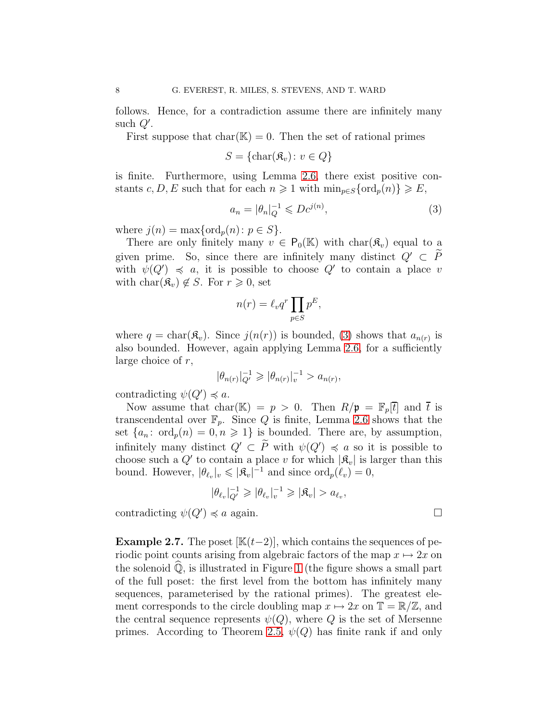follows. Hence, for a contradiction assume there are infinitely many such  $Q'$ .

First suppose that  $char(\mathbb{K}) = 0$ . Then the set of rational primes

$$
S = {\text{char}(\mathfrak{K}_v) : v \in Q}
$$

is finite. Furthermore, using Lemma [2.6,](#page-6-1) there exist positive constants c, D, E such that for each  $n \geq 1$  with  $\min_{p \in S} {\text{ord}_p(n)} \geq E$ ,

<span id="page-7-0"></span>
$$
a_n = |\theta_n|_Q^{-1} \leqslant Dc^{j(n)},\tag{3}
$$

where  $j(n) = \max\{\text{ord}_p(n): p \in S\}.$ 

There are only finitely many  $v \in P_0(K)$  with  $char(\mathcal{R}_v)$  equal to a given prime. So, since there are infinitely many distinct  $Q' \subset \widetilde{P}$ with  $\psi(Q') \preceq a$ , it is possible to choose  $Q'$  to contain a place v with  $char(\mathcal{R}_v) \notin S$ . For  $r \geq 0$ , set

$$
n(r) = \ell_v q^r \prod_{p \in S} p^E,
$$

where  $q = \text{char}(\mathfrak{K}_v)$ . Since  $j(n(r))$  is bounded, [\(3\)](#page-7-0) shows that  $a_{n(r)}$  is also bounded. However, again applying Lemma [2.6,](#page-6-1) for a sufficiently large choice of  $r$ ,

$$
|\theta_{n(r)}|_{Q'}^{-1} \geqslant |\theta_{n(r)}|_{v}^{-1} > a_{n(r)},
$$

contradicting  $\psi(Q') \preccurlyeq a$ .

Now assume that char( $\mathbb{K}$ ) = p > 0. Then  $R/\mathfrak{p} = \mathbb{F}_p[\bar{t}]$  and  $\bar{t}$  is transcendental over  $\mathbb{F}_p$ . Since Q is finite, Lemma [2.6](#page-6-1) shows that the set  $\{a_n : \text{ord}_p(n) = 0, n \geq 1\}$  is bounded. There are, by assumption, infinitely many distinct  $Q' \subset P$  with  $\psi(Q') \preccurlyeq a$  so it is possible to choose such a  $Q'$  to contain a place v for which  $|\mathcal{R}_v|$  is larger than this bound. However,  $|\theta_{\ell_v}|_v \leqslant |\mathfrak{K}_v|^{-1}$  and since  $\mathrm{ord}_p(\ell_v) = 0$ ,

$$
|\theta_{\ell_v}|_{Q'}^{-1} \geqslant |\theta_{\ell_v}|_v^{-1} \geqslant |\mathfrak{K}_v| > a_{\ell_v},
$$

contradicting  $\psi(Q') \preccurlyeq a$  again.

**Example 2.7.** The poset  $[\mathbb{K}(t-2)]$ , which contains the sequences of periodic point counts arising from algebraic factors of the map  $x \mapsto 2x$  on the solenoid  $\overline{Q}$ , is illustrated in Figure [1](#page-8-1) (the figure shows a small part of the full poset: the first level from the bottom has infinitely many sequences, parameterised by the rational primes). The greatest element corresponds to the circle doubling map  $x \mapsto 2x$  on  $\mathbb{T} = \mathbb{R}/\mathbb{Z}$ , and the central sequence represents  $\psi(Q)$ , where Q is the set of Mersenne primes. According to Theorem [2.5,](#page-6-0)  $\psi(Q)$  has finite rank if and only

$$
\theta
$$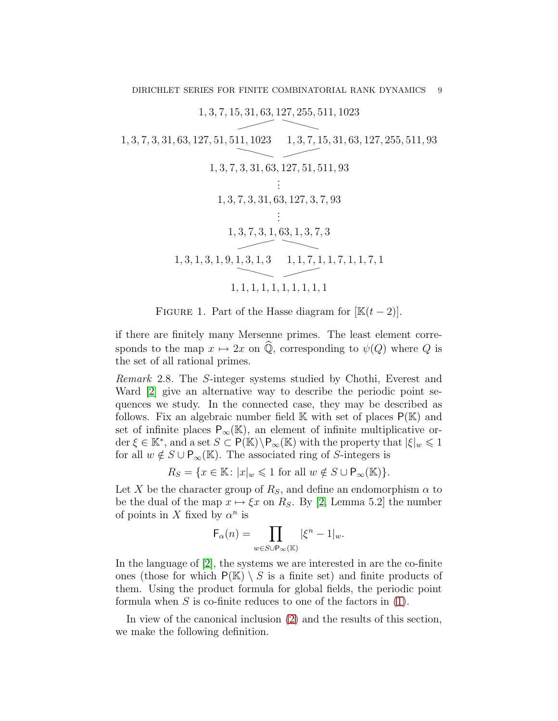$\overbrace{1, 3, 7, 15, 31, 63, 127, 255, 511, 1023}^{1, 3, 7, 15, 31, 63, 127, 255, 511, 1023}$ 

 $1, 3, 7, 3, 31, 63, 127, 51, 511, 1023 \quad 1, 3, 7, 15, 31, 63, 127, 255, 511, 93$  $\sim$   $\sim$   $\sim$ 1, 3, 7, 3, 31, 63, 127, 51, 511, 93 . . . 1, 3, 7, 3, 31, 63, 127, 3, 7, 93 . . .  $\overbrace{1, 3, 7, 3, 1, 63, 1, 3, 7, 3}^{1, 6, 7, 3, 1, 6, 7, 3}$  $1, 3, 1, 3, 1, 9, 1, 3, 1, 3 \quad 1, 1, 7, 1, 1, 7, 1, 1, 7, 1$ ❳❳ ❳❳ ✘✘✘✘ 1, 1, 1, 1, 1, 1, 1, 1, 1, 1

<span id="page-8-1"></span>FIGURE 1. Part of the Hasse diagram for  $[\mathbb{K}(t-2)]$ .

if there are finitely many Mersenne primes. The least element corresponds to the map  $x \mapsto 2x$  on  $\widehat{Q}$ , corresponding to  $\psi(Q)$  where Q is the set of all rational primes.

Remark 2.8. The S-integer systems studied by Chothi, Everest and Ward [\[2\]](#page-34-4) give an alternative way to describe the periodic point sequences we study. In the connected case, they may be described as follows. Fix an algebraic number field  $\mathbb K$  with set of places  $P(\mathbb K)$  and set of infinite places  $P_{\infty}(\mathbb{K})$ , an element of infinite multiplicative order  $\xi \in \mathbb{K}^*$ , and a set  $S \subset \mathsf{P}(\mathbb{K}) \backslash \mathsf{P}_{\infty}(\mathbb{K})$  with the property that  $|\xi|_w \leq 1$ for all  $w \notin S \cup P_{\infty}(\mathbb{K})$ . The associated ring of S-integers is

 $R_S = \{x \in \mathbb{K}: |x|_w \leq 1 \text{ for all } w \notin S \cup \mathsf{P}_{\infty}(\mathbb{K})\}.$ 

Let X be the character group of  $R<sub>S</sub>$ , and define an endomorphism  $\alpha$  to be the dual of the map  $x \mapsto \xi x$  on R<sub>S</sub>. By [\[2,](#page-34-4) Lemma 5.2] the number of points in X fixed by  $\alpha^n$  is

$$
\mathsf{F}_\alpha(n) = \prod_{w \in S \cup \mathsf{P}_\infty(\mathbb{K})} |\xi^n - 1|_w.
$$

In the language of [\[2\]](#page-34-4), the systems we are interested in are the co-finite ones (those for which  $P(K) \setminus S$  is a finite set) and finite products of them. Using the product formula for global fields, the periodic point formula when  $S$  is co-finite reduces to one of the factors in  $(1)$ .

<span id="page-8-0"></span>In view of the canonical inclusion [\(2\)](#page-5-1) and the results of this section, we make the following definition.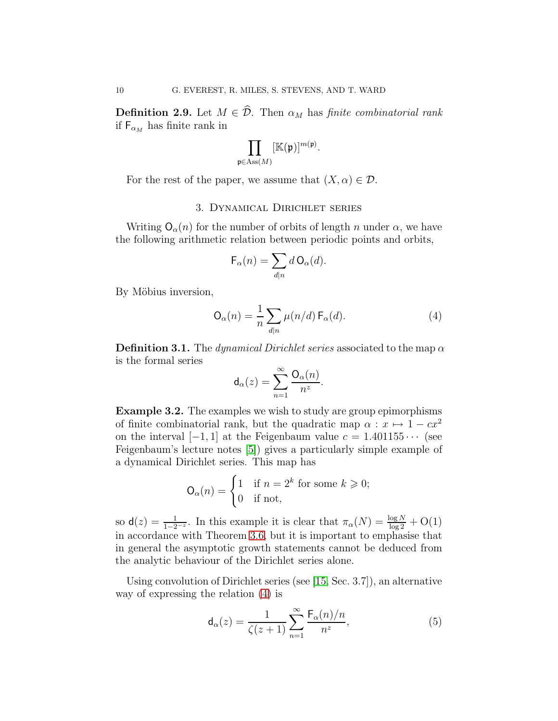**Definition 2.9.** Let  $M \in \hat{\mathcal{D}}$ . Then  $\alpha_M$  has finite combinatorial rank if  $F_{\alpha_M}$  has finite rank in

$$
\prod_{\in \operatorname{Ass}(M)} [\mathbb{K}(\mathfrak{p})]^{m(\mathfrak{p})}.
$$

<span id="page-9-0"></span>For the rest of the paper, we assume that  $(X, \alpha) \in \mathcal{D}$ .

p∈Ass(M)

## 3. Dynamical Dirichlet series

Writing  $O_{\alpha}(n)$  for the number of orbits of length n under  $\alpha$ , we have the following arithmetic relation between periodic points and orbits,

$$
\mathsf{F}_\alpha(n) = \sum_{d|n} d\,\mathsf{O}_\alpha(d).
$$

By Möbius inversion,

<span id="page-9-1"></span>
$$
\mathsf{O}_{\alpha}(n) = \frac{1}{n} \sum_{d|n} \mu(n/d) \, \mathsf{F}_{\alpha}(d). \tag{4}
$$

**Definition 3.1.** The dynamical Dirichlet series associated to the map  $\alpha$ is the formal series

$$
\mathsf{d}_{\alpha}(z)=\sum_{n=1}^{\infty}\frac{\mathsf{O}_{\alpha}(n)}{n^{z}}.
$$

Example 3.2. The examples we wish to study are group epimorphisms of finite combinatorial rank, but the quadratic map  $\alpha : x \mapsto 1 - cx^2$ on the interval  $[-1, 1]$  at the Feigenbaum value  $c = 1.401155 \cdots$  (see Feigenbaum's lecture notes [\[5\]](#page-34-9)) gives a particularly simple example of a dynamical Dirichlet series. This map has

$$
\mathsf{O}_{\alpha}(n) = \begin{cases} 1 & \text{if } n = 2^k \text{ for some } k \geqslant 0; \\ 0 & \text{if not,} \end{cases}
$$

so  $\mathsf{d}(z) = \frac{1}{1-2^{-z}}$ . In this example it is clear that  $\pi_{\alpha}(N) = \frac{\log N}{\log 2} + \mathrm{O}(1)$ in accordance with Theorem [3.6,](#page-11-1) but it is important to emphasise that in general the asymptotic growth statements cannot be deduced from the analytic behaviour of the Dirichlet series alone.

Using convolution of Dirichlet series (see [\[15,](#page-35-3) Sec. 3.7]), an alternative way of expressing the relation [\(4\)](#page-9-1) is

<span id="page-9-2"></span>
$$
\mathsf{d}_{\alpha}(z) = \frac{1}{\zeta(z+1)} \sum_{n=1}^{\infty} \frac{\mathsf{F}_{\alpha}(n)/n}{n^z},\tag{5}
$$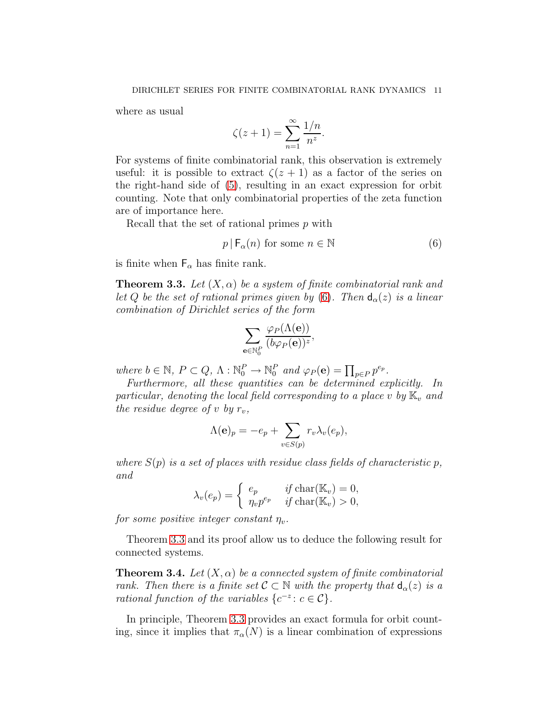where as usual

$$
\zeta(z+1) = \sum_{n=1}^{\infty} \frac{1/n}{n^z}.
$$

For systems of finite combinatorial rank, this observation is extremely useful: it is possible to extract  $\zeta(z+1)$  as a factor of the series on the right-hand side of [\(5\)](#page-9-2), resulting in an exact expression for orbit counting. Note that only combinatorial properties of the zeta function are of importance here.

Recall that the set of rational primes p with

<span id="page-10-2"></span>
$$
p \mid \mathsf{F}_{\alpha}(n) \text{ for some } n \in \mathbb{N} \tag{6}
$$

<span id="page-10-0"></span>is finite when  $F_{\alpha}$  has finite rank.

**Theorem 3.3.** Let  $(X, \alpha)$  be a system of finite combinatorial rank and let Q be the set of rational primes given by [\(6\)](#page-10-2). Then  $d_{\alpha}(z)$  is a linear combination of Dirichlet series of the form

$$
\sum_{\mathbf{e}\in\mathbb{N}_0^P}\frac{\varphi_P(\Lambda(\mathbf{e}))}{(b\varphi_P(\mathbf{e}))^z}
$$

,

where  $b \in \mathbb{N}$ ,  $P \subset Q$ ,  $\Lambda : \mathbb{N}_0^P \to \mathbb{N}_0^P$  and  $\varphi_P(\mathbf{e}) = \prod_{p \in P} p^{e_p}$ .

Furthermore, all these quantities can be determined explicitly. In particular, denoting the local field corresponding to a place v by  $\mathbb{K}_v$  and the residue degree of v by  $r_v$ ,

$$
\Lambda(e)_p = -e_p + \sum_{v \in S(p)} r_v \lambda_v(e_p),
$$

where  $S(p)$  is a set of places with residue class fields of characteristic p, and

$$
\lambda_v(e_p) = \begin{cases} e_p & \text{if char}(\mathbb{K}_v) = 0, \\ \eta_v p^{e_p} & \text{if char}(\mathbb{K}_v) > 0, \end{cases}
$$

for some positive integer constant  $\eta_v$ .

<span id="page-10-1"></span>Theorem [3.3](#page-10-0) and its proof allow us to deduce the following result for connected systems.

**Theorem 3.4.** Let  $(X, \alpha)$  be a connected system of finite combinatorial rank. Then there is a finite set  $\mathcal{C} \subset \mathbb{N}$  with the property that  $d_{\alpha}(z)$  is a rational function of the variables  $\{c^{-z}: c \in \mathcal{C}\}.$ 

In principle, Theorem [3.3](#page-10-0) provides an exact formula for orbit counting, since it implies that  $\pi_{\alpha}(N)$  is a linear combination of expressions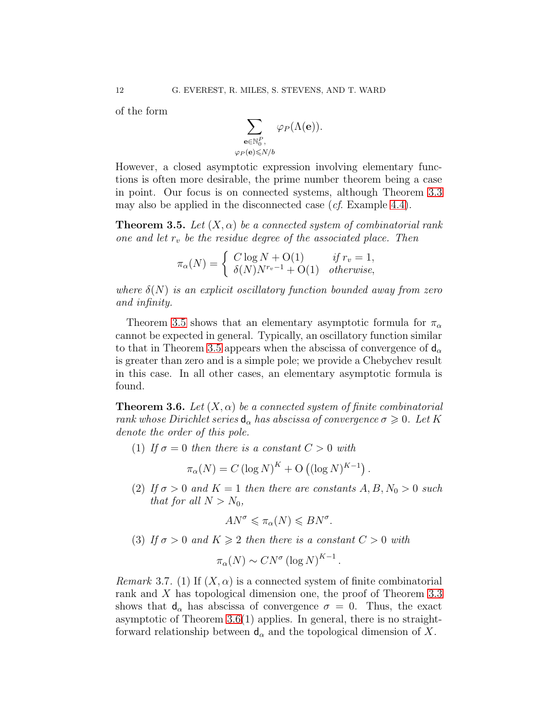of the form

$$
\sum_{\substack{\mathbf{e}\in\mathbb{N}_0^P,\\\varphi_P(\mathbf{e})\leqslant N/b}}\varphi_P(\Lambda(\mathbf{e})).
$$

However, a closed asymptotic expression involving elementary functions is often more desirable, the prime number theorem being a case in point. Our focus is on connected systems, although Theorem [3.3](#page-10-0) may also be applied in the disconnected case  $(cf.$  Example [4.4\)](#page-14-0).

<span id="page-11-0"></span>**Theorem 3.5.** Let  $(X, \alpha)$  be a connected system of combinatorial rank one and let  $r_v$  be the residue degree of the associated place. Then

$$
\pi_{\alpha}(N) = \begin{cases} C \log N + O(1) & \text{if } r_v = 1, \\ \delta(N) N^{r_v - 1} + O(1) & \text{otherwise,} \end{cases}
$$

where  $\delta(N)$  is an explicit oscillatory function bounded away from zero and infinity.

Theorem [3.5](#page-11-0) shows that an elementary asymptotic formula for  $\pi_{\alpha}$ cannot be expected in general. Typically, an oscillatory function similar to that in Theorem [3.5](#page-11-0) appears when the abscissa of convergence of  $d_{\alpha}$ is greater than zero and is a simple pole; we provide a Chebychev result in this case. In all other cases, an elementary asymptotic formula is found.

<span id="page-11-1"></span>**Theorem 3.6.** Let  $(X, \alpha)$  be a connected system of finite combinatorial rank whose Dirichlet series  $d_{\alpha}$  has abscissa of convergence  $\sigma \geqslant 0$ . Let K denote the order of this pole.

(1) If  $\sigma = 0$  then there is a constant  $C > 0$  with

$$
\pi_{\alpha}(N) = C (\log N)^{K} + O ((\log N)^{K-1}).
$$

(2) If  $\sigma > 0$  and  $K = 1$  then there are constants  $A, B, N_0 > 0$  such that for all  $N > N_0$ ,

$$
AN^{\sigma} \leq \pi_{\alpha}(N) \leqslant BN^{\sigma}.
$$

(3) If  $\sigma > 0$  and  $K \geq 2$  then there is a constant  $C > 0$  with

$$
\pi_{\alpha}(N) \sim CN^{\sigma} (\log N)^{K-1}.
$$

*Remark* 3.7. (1) If  $(X, \alpha)$  is a connected system of finite combinatorial rank and X has topological dimension one, the proof of Theorem [3.3](#page-10-0) shows that  $d_{\alpha}$  has abscissa of convergence  $\sigma = 0$ . Thus, the exact asymptotic of Theorem [3.6\(](#page-11-1)1) applies. In general, there is no straightforward relationship between  $d_{\alpha}$  and the topological dimension of X.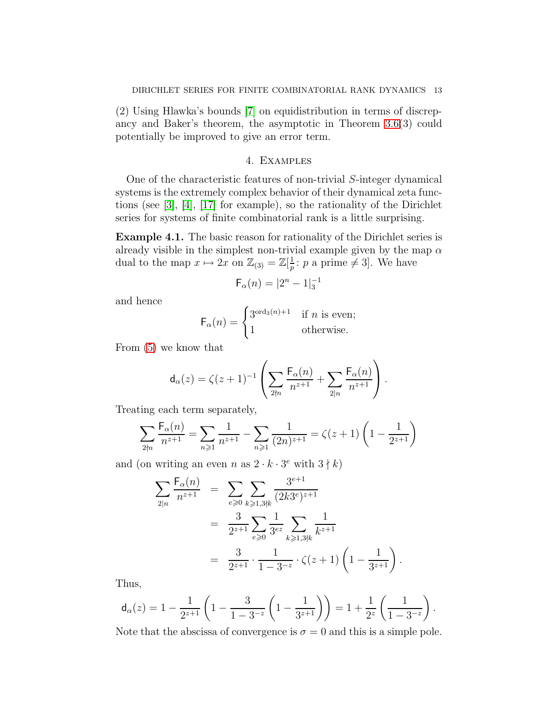(2) Using Hlawka's bounds [\[7\]](#page-34-10) on equidistribution in terms of discrepancy and Baker's theorem, the asymptotic in Theorem [3.6\(](#page-11-1)3) could potentially be improved to give an error term.

## 4. Examples

<span id="page-12-0"></span>One of the characteristic features of non-trivial S-integer dynamical systems is the extremely complex behavior of their dynamical zeta functions (see [\[3\]](#page-34-3), [\[4\]](#page-34-11), [\[17\]](#page-35-4) for example), so the rationality of the Dirichlet series for systems of finite combinatorial rank is a little surprising.

<span id="page-12-1"></span>Example 4.1. The basic reason for rationality of the Dirichlet series is already visible in the simplest non-trivial example given by the map  $\alpha$ dual to the map  $x \mapsto 2x$  on  $\mathbb{Z}_{(3)} = \mathbb{Z}[\frac{1}{p}]$  $\frac{1}{p}$ : p a prime  $\neq$  3. We have

$$
\mathsf{F}_{\alpha}(n) = |2^{n} - 1|_{3}^{-1}
$$

and hence

$$
\mathsf{F}_{\alpha}(n) = \begin{cases} 3^{\text{ord}_3(n)+1} & \text{if } n \text{ is even;} \\ 1 & \text{otherwise.} \end{cases}
$$

From [\(5\)](#page-9-2) we know that

$$
\mathsf{d}_\alpha(z) = \zeta(z+1)^{-1} \left( \sum_{2 \nmid n} \frac{\mathsf{F}_\alpha(n)}{n^{z+1}} + \sum_{2 \mid n} \frac{\mathsf{F}_\alpha(n)}{n^{z+1}} \right).
$$

Treating each term separately,

$$
\sum_{2 \nmid n} \frac{\mathsf{F}_\alpha(n)}{n^{z+1}} = \sum_{n \geqslant 1} \frac{1}{n^{z+1}} - \sum_{n \geqslant 1} \frac{1}{(2n)^{z+1}} = \zeta(z+1) \left(1 - \frac{1}{2^{z+1}}\right)
$$

and (on writing an even n as  $2 \cdot k \cdot 3^e$  with  $3 \nmid k$ )

$$
\sum_{2|n} \frac{F_{\alpha}(n)}{n^{z+1}} = \sum_{e \ge 0} \sum_{k \ge 1, 3\neq k} \frac{3^{e+1}}{(2k3^e)^{z+1}}
$$

$$
= \frac{3}{2^{z+1}} \sum_{e \ge 0} \frac{1}{3^{ez}} \sum_{k \ge 1, 3\neq k} \frac{1}{k^{z+1}}
$$

$$
= \frac{3}{2^{z+1}} \cdot \frac{1}{1 - 3^{-z}} \cdot \zeta(z+1) \left(1 - \frac{1}{3^{z+1}}\right)
$$

.

Thus,

$$
\mathsf{d}_\alpha(z) = 1 - \frac{1}{2^{z+1}} \left( 1 - \frac{3}{1-3^{-z}} \left( 1 - \frac{1}{3^{z+1}} \right) \right) = 1 + \frac{1}{2^z} \left( \frac{1}{1-3^{-z}} \right).
$$

Note that the abscissa of convergence is  $\sigma = 0$  and this is a simple pole.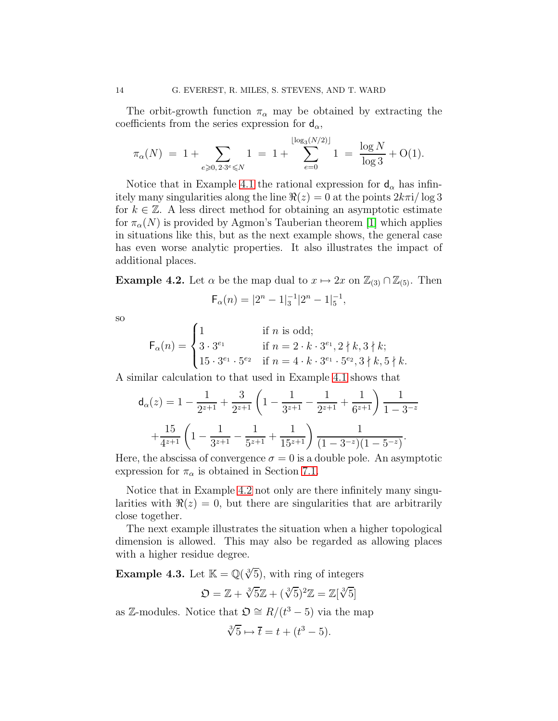The orbit-growth function  $\pi_{\alpha}$  may be obtained by extracting the coefficients from the series expression for  $d_{\alpha}$ ,

$$
\pi_{\alpha}(N) = 1 + \sum_{e \ge 0, 2 \cdot 3^e \le N} 1 = 1 + \sum_{e=0}^{\lfloor \log_3(N/2) \rfloor} 1 = \frac{\log N}{\log 3} + O(1).
$$

Notice that in Example [4.1](#page-12-1) the rational expression for  $d_{\alpha}$  has infinitely many singularities along the line  $\Re(z) = 0$  at the points  $2k\pi i/\log 3$ for  $k \in \mathbb{Z}$ . A less direct method for obtaining an asymptotic estimate for  $\pi_{\alpha}(N)$  is provided by Agmon's Tauberian theorem [\[1\]](#page-34-5) which applies in situations like this, but as the next example shows, the general case has even worse analytic properties. It also illustrates the impact of additional places.

<span id="page-13-1"></span>**Example 4.2.** Let  $\alpha$  be the map dual to  $x \mapsto 2x$  on  $\mathbb{Z}_{(3)} \cap \mathbb{Z}_{(5)}$ . Then

$$
\mathsf{F}_{\alpha}(n) = |2^{n} - 1|_{3}^{-1}|2^{n} - 1|_{5}^{-1},
$$

so

$$
\mathsf{F}_{\alpha}(n) = \begin{cases} 1 & \text{if } n \text{ is odd}; \\ 3 \cdot 3^{e_1} & \text{if } n = 2 \cdot k \cdot 3^{e_1}, 2 \nmid k, 3 \nmid k; \\ 15 \cdot 3^{e_1} \cdot 5^{e_2} & \text{if } n = 4 \cdot k \cdot 3^{e_1} \cdot 5^{e_2}, 3 \nmid k, 5 \nmid k. \end{cases}
$$

A similar calculation to that used in Example [4.1](#page-12-1) shows that

$$
\mathsf{d}_{\alpha}(z) = 1 - \frac{1}{2^{z+1}} + \frac{3}{2^{z+1}} \left( 1 - \frac{1}{3^{z+1}} - \frac{1}{2^{z+1}} + \frac{1}{6^{z+1}} \right) \frac{1}{1 - 3^{-z}}
$$

$$
+ \frac{15}{4^{z+1}} \left( 1 - \frac{1}{3^{z+1}} - \frac{1}{5^{z+1}} + \frac{1}{15^{z+1}} \right) \frac{1}{(1 - 3^{-z})(1 - 5^{-z})}.
$$

Here, the abscissa of convergence  $\sigma = 0$  is a double pole. An asymptotic expression for  $\pi_{\alpha}$  is obtained in Section [7.1.](#page-23-1)

Notice that in Example [4.2](#page-13-1) not only are there infinitely many singularities with  $\Re(z) = 0$ , but there are singularities that are arbitrarily close together.

The next example illustrates the situation when a higher topological dimension is allowed. This may also be regarded as allowing places with a higher residue degree.

<span id="page-13-0"></span>**Example 4.3.** Let  $\mathbb{K} = \mathbb{Q}(\sqrt[3]{5})$ , with ring of integers

$$
\mathfrak{O}=\mathbb{Z}+\sqrt[3]{5}\mathbb{Z}+(\sqrt[3]{5})^2\mathbb{Z}=\mathbb{Z}[\sqrt[3]{5}]
$$

as Z-modules. Notice that  $\mathfrak{O} \cong R/(t^3-5)$  via the map

$$
\sqrt[3]{5} \mapsto \overline{t} = t + (t^3 - 5).
$$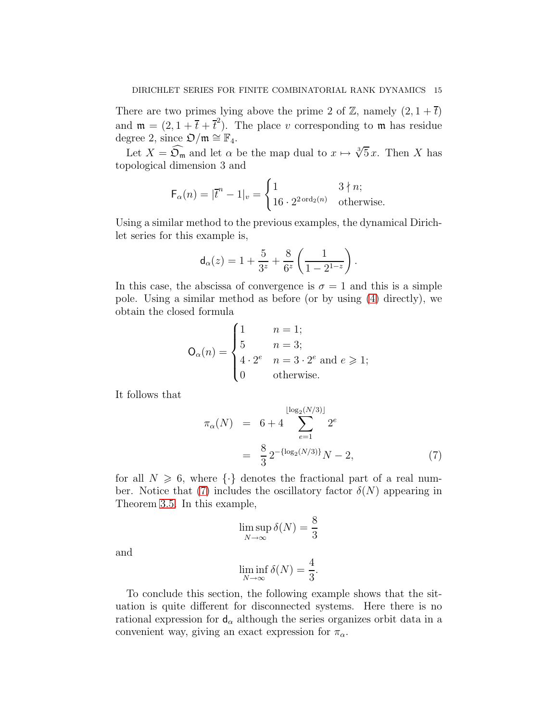There are two primes lying above the prime 2 of  $\mathbb{Z}$ , namely  $(2, 1 + \overline{t})$ and  $\mathfrak{m} = (2, 1 + \overline{t} + \overline{t}^2)$ . The place v corresponding to  $\mathfrak{m}$  has residue degree 2, since  $\mathfrak{O}/\mathfrak{m} \cong \mathbb{F}_4$ .

Let  $X = \widehat{\mathfrak{O}_{\mathfrak{m}}}$  and let  $\alpha$  be the map dual to  $x \mapsto \sqrt[3]{5}x$ . Then X has topological dimension 3 and

$$
\mathsf{F}_{\alpha}(n) = |\overline{t}^{n} - 1|_{v} = \begin{cases} 1 & 3 \nmid n; \\ 16 \cdot 2^{2 \operatorname{ord}_{2}(n)} & \text{otherwise.} \end{cases}
$$

Using a similar method to the previous examples, the dynamical Dirichlet series for this example is,

$$
\mathsf{d}_{\alpha}(z) = 1 + \frac{5}{3^z} + \frac{8}{6^z} \left( \frac{1}{1 - 2^{1-z}} \right).
$$

In this case, the abscissa of convergence is  $\sigma = 1$  and this is a simple pole. Using a similar method as before (or by using [\(4\)](#page-9-1) directly), we obtain the closed formula

$$
\mathsf{O}_{\alpha}(n) = \begin{cases} 1 & n = 1; \\ 5 & n = 3; \\ 4 \cdot 2^{e} & n = 3 \cdot 2^{e} \text{ and } e \geqslant 1; \\ 0 & \text{otherwise.} \end{cases}
$$

It follows that

<span id="page-14-1"></span>
$$
\pi_{\alpha}(N) = 6 + 4 \sum_{e=1}^{\lfloor \log_2(N/3) \rfloor} 2^e
$$
  
=  $\frac{8}{3} 2^{-\{\log_2(N/3)\}} N - 2,$  (7)

for all  $N \ge 6$ , where  $\{\cdot\}$  denotes the fractional part of a real num-ber. Notice that [\(7\)](#page-14-1) includes the oscillatory factor  $\delta(N)$  appearing in Theorem [3.5.](#page-11-0) In this example,

$$
\limsup_{N \to \infty} \delta(N) = \frac{8}{3}
$$

and

$$
\liminf_{N \to \infty} \delta(N) = \frac{4}{3}.
$$

<span id="page-14-0"></span>To conclude this section, the following example shows that the situation is quite different for disconnected systems. Here there is no rational expression for  $d_{\alpha}$  although the series organizes orbit data in a convenient way, giving an exact expression for  $\pi_{\alpha}$ .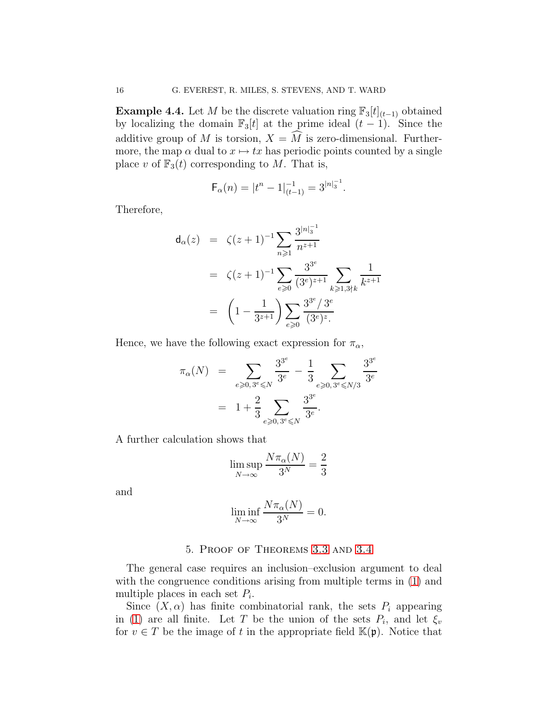**Example 4.4.** Let M be the discrete valuation ring  $\mathbb{F}_3[t]_{(t-1)}$  obtained by localizing the domain  $\mathbb{F}_3[t]$  at the prime ideal  $(t-1)$ . Since the additive group of M is torsion,  $X = \overline{M}$  is zero-dimensional. Furthermore, the map  $\alpha$  dual to  $x \mapsto tx$  has periodic points counted by a single place v of  $\mathbb{F}_3(t)$  corresponding to M. That is,

$$
\mathsf{F}_{\alpha}(n) = |t^n - 1|_{(t-1)}^{-1} = 3^{|n|_3^{-1}}.
$$

Therefore,

$$
d_{\alpha}(z) = \zeta(z+1)^{-1} \sum_{n \geq 1} \frac{3^{|n|_3^{-1}}}{n^{z+1}}
$$
  
=  $\zeta(z+1)^{-1} \sum_{e \geq 0} \frac{3^{3^e}}{(3^e)^{z+1}} \sum_{k \geq 1,3\nmid k} \frac{1}{k^{z+1}}$   
=  $\left(1 - \frac{1}{3^{z+1}}\right) \sum_{e \geq 0} \frac{3^{3^e}/3^e}{(3^e)^z}$ 

Hence, we have the following exact expression for  $\pi_{\alpha}$ ,

$$
\pi_{\alpha}(N) = \sum_{e \ge 0, 3^e \le N} \frac{3^{3^e}}{3^e} - \frac{1}{3} \sum_{e \ge 0, 3^e \le N/3} \frac{3^{3^e}}{3^e}
$$

$$
= 1 + \frac{2}{3} \sum_{e \ge 0, 3^e \le N} \frac{3^{3^e}}{3^e}.
$$

A further calculation shows that

$$
\limsup_{N \to \infty} \frac{N\pi_{\alpha}(N)}{3^N} = \frac{2}{3}
$$

and

$$
\liminf_{N \to \infty} \frac{N \pi_{\alpha}(N)}{3^N} = 0.
$$

#### 5. Proof of Theorems [3.3](#page-10-0) and [3.4](#page-10-1)

<span id="page-15-0"></span>The general case requires an inclusion–exclusion argument to deal with the congruence conditions arising from multiple terms in  $(1)$  and multiple places in each set  $P_i$ .

Since  $(X, \alpha)$  has finite combinatorial rank, the sets  $P_i$  appearing in [\(1\)](#page-4-1) are all finite. Let T be the union of the sets  $P_i$ , and let  $\xi_v$ for  $v \in T$  be the image of t in the appropriate field  $\mathbb{K}(\mathfrak{p})$ . Notice that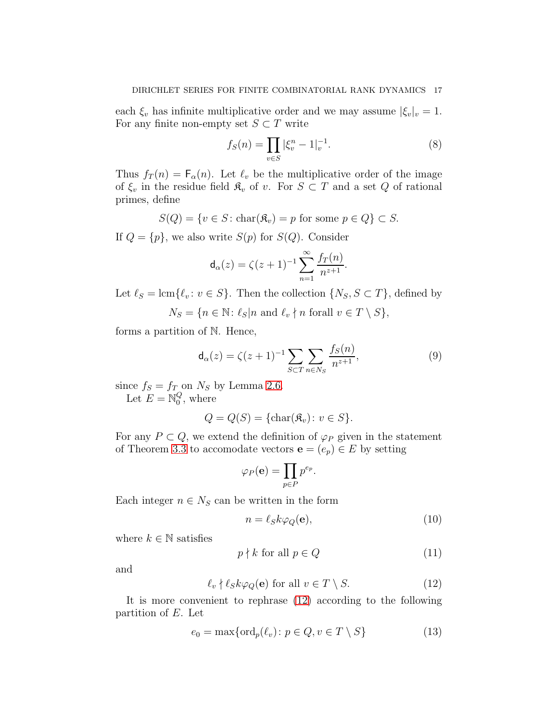each  $\xi_v$  has infinite multiplicative order and we may assume  $|\xi_v|_v = 1$ . For any finite non-empty set  $S \subset T$  write

<span id="page-16-5"></span>
$$
f_S(n) = \prod_{v \in S} |\xi_v^n - 1|_v^{-1}.
$$
 (8)

Thus  $f_T(n) = F_\alpha(n)$ . Let  $\ell_v$  be the multiplicative order of the image of  $\xi_v$  in the residue field  $\mathfrak{K}_v$  of v. For  $S \subset T$  and a set Q of rational primes, define

$$
S(Q) = \{ v \in S : \text{char}(\mathfrak{K}_v) = p \text{ for some } p \in Q \} \subset S.
$$

If  $Q = \{p\}$ , we also write  $S(p)$  for  $S(Q)$ . Consider

$$
\mathsf{d}_{\alpha}(z) = \zeta(z+1)^{-1} \sum_{n=1}^{\infty} \frac{f_T(n)}{n^{z+1}}.
$$

Let  $\ell_S = \text{lcm}\{\ell_v : v \in S\}$ . Then the collection  $\{N_S, S \subset T\}$ , defined by

 $N_S = \{n \in \mathbb{N}: \ell_S | n \text{ and } \ell_v \nmid n \text{ for all } v \in T \setminus S\},\$ 

forms a partition of N. Hence,

<span id="page-16-2"></span>
$$
\mathsf{d}_{\alpha}(z) = \zeta(z+1)^{-1} \sum_{S \subset T} \sum_{n \in N_S} \frac{f_S(n)}{n^{z+1}},\tag{9}
$$

since  $f_S = f_T$  on  $N_S$  by Lemma [2.6.](#page-6-1) Let  $E = \mathbb{N}_0^Q$  $\frac{Q}{0}$ , where

$$
Q = Q(S) = \{ \text{char}(\mathfrak{K}_v) \colon v \in S \}.
$$

For any  $P \subset Q$ , we extend the definition of  $\varphi_P$  given in the statement of Theorem [3.3](#page-10-0) to accomodate vectors  $\mathbf{e} = (e_p) \in E$  by setting

$$
\varphi_P(\mathbf{e}) = \prod_{p \in P} p^{e_p}.
$$

Each integer  $n \in N_S$  can be written in the form

<span id="page-16-1"></span>
$$
n = \ell_S k \varphi_Q(\mathbf{e}),\tag{10}
$$

where  $k \in \mathbb{N}$  satisfies

<span id="page-16-3"></span>
$$
p \nmid k \text{ for all } p \in Q \tag{11}
$$

and

<span id="page-16-0"></span>
$$
\ell_v \nmid \ell_S k \varphi_Q(\mathbf{e}) \text{ for all } v \in T \setminus S. \tag{12}
$$

It is more convenient to rephrase [\(12\)](#page-16-0) according to the following partition of E. Let

<span id="page-16-4"></span>
$$
e_0 = \max\{\text{ord}_p(\ell_v) \colon p \in Q, v \in T \setminus S\}
$$
 (13)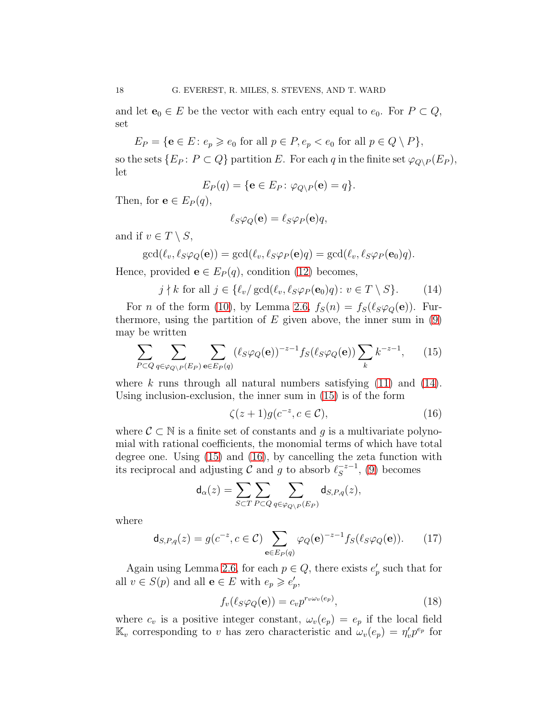and let  $e_0 \in E$  be the vector with each entry equal to  $e_0$ . For  $P \subset Q$ , set

 $E_P = \{e \in E \colon e_p \geq e_0 \text{ for all } p \in P, e_p < e_0 \text{ for all } p \in Q \setminus P\},\$ 

so the sets  $\{E_P: P \subset Q\}$  partition E. For each q in the finite set  $\varphi_{Q\setminus P}(E_P)$ , let

$$
E_P(q) = \{ \mathbf{e} \in E_P \colon \varphi_{Q \setminus P}(\mathbf{e}) = q \}.
$$

Then, for  $e \in E_P(q)$ ,

$$
\ell_S \varphi_Q(\mathbf{e}) = \ell_S \varphi_P(\mathbf{e}) q,
$$

and if  $v \in T \setminus S$ ,

$$
\gcd(\ell_v, \ell_S \varphi_Q(\mathbf{e})) = \gcd(\ell_v, \ell_S \varphi_P(\mathbf{e})q) = \gcd(\ell_v, \ell_S \varphi_P(\mathbf{e}_0)q).
$$

Hence, provided  $e \in E_P(q)$ , condition [\(12\)](#page-16-0) becomes,

<span id="page-17-0"></span>
$$
j \nmid k \text{ for all } j \in \{\ell_v/\gcd(\ell_v, \ell_S \varphi_P(\mathbf{e}_0)q) \colon v \in T \setminus S\}. \tag{14}
$$

For *n* of the form [\(10\)](#page-16-1), by Lemma [2.6,](#page-6-1)  $f_S(n) = f_S(\ell_S \varphi_Q(\mathbf{e}))$ . Furthermore, using the partition of  $E$  given above, the inner sum in  $(9)$ may be written

<span id="page-17-1"></span>
$$
\sum_{P \subset Q} \sum_{q \in \varphi_{Q \setminus P}(E_P)} \sum_{\mathbf{e} \in E_P(q)} (\ell_S \varphi_Q(\mathbf{e}))^{-z-1} f_S(\ell_S \varphi_Q(\mathbf{e})) \sum_k k^{-z-1}, \qquad (15)
$$

where k runs through all natural numbers satisfying  $(11)$  and  $(14)$ . Using inclusion-exclusion, the inner sum in [\(15\)](#page-17-1) is of the form

<span id="page-17-2"></span>
$$
\zeta(z+1)g(c^{-z},c\in\mathcal{C}),\tag{16}
$$

where  $\mathcal{C} \subset \mathbb{N}$  is a finite set of constants and q is a multivariate polynomial with rational coefficients, the monomial terms of which have total degree one. Using [\(15\)](#page-17-1) and [\(16\)](#page-17-2), by cancelling the zeta function with its reciprocal and adjusting  $\mathcal C$  and  $g$  to absorb  $\ell_S^{-z-1}$  $s^{-z-1}$ , [\(9\)](#page-16-2) becomes

$$
\mathsf{d}_{\alpha}(z) = \sum_{S \subset T} \sum_{P \subset Q} \sum_{q \in \varphi_{Q \setminus P}(E_P)} \mathsf{d}_{S, P, q}(z),
$$

where

<span id="page-17-3"></span>
$$
\mathsf{d}_{S,P,q}(z) = g(c^{-z}, c \in \mathcal{C}) \sum_{\mathbf{e} \in E_P(q)} \varphi_Q(\mathbf{e})^{-z-1} f_S(\ell_S \varphi_Q(\mathbf{e})). \tag{17}
$$

Again using Lemma [2.6,](#page-6-1) for each  $p \in Q$ , there exists  $e'_p$  such that for all  $v \in S(p)$  and all  $\mathbf{e} \in E$  with  $e_p \geqslant e'_p$ ,

<span id="page-17-4"></span>
$$
f_v(\ell_S \varphi_Q(\mathbf{e})) = c_v p^{r_v \omega_v(e_p)},\tag{18}
$$

where  $c_v$  is a positive integer constant,  $\omega_v(e_p) = e_p$  if the local field  $\mathbb{K}_v$  corresponding to v has zero characteristic and  $\omega_v(e_p) = \eta'_v p^{e_p}$  for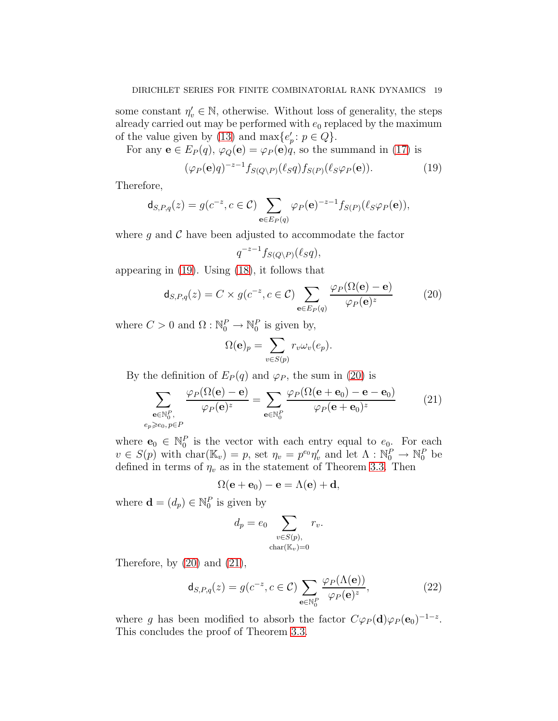some constant  $\eta'_v \in \mathbb{N}$ , otherwise. Without loss of generality, the steps already carried out may be performed with  $e_0$  replaced by the maximum of the value given by [\(13\)](#page-16-4) and  $\max\{e'_p : p \in Q\}.$ 

For any  $e \in E_P(q)$ ,  $\varphi_Q(e) = \varphi_P(e)q$ , so the summand in [\(17\)](#page-17-3) is

<span id="page-18-0"></span>
$$
(\varphi_P(\mathbf{e})q)^{-z-1} f_{S(Q\backslash P)}(\ell_S q) f_{S(P)}(\ell_S \varphi_P(\mathbf{e})). \tag{19}
$$

Therefore,

 $e_p$ 

$$
\mathsf{d}_{S,P,q}(z) = g(c^{-z}, c \in \mathcal{C}) \sum_{\mathbf{e} \in E_P(q)} \varphi_P(\mathbf{e})^{-z-1} f_{S(P)}(\ell_S \varphi_P(\mathbf{e})),
$$

where  $g$  and  $\mathcal C$  have been adjusted to accommodate the factor

$$
q^{-z-1}f_{S(Q\setminus P)}(\ell_S q),
$$

appearing in [\(19\)](#page-18-0). Using [\(18\)](#page-17-4), it follows that

<span id="page-18-1"></span>
$$
\mathsf{d}_{S,P,q}(z) = C \times g(c^{-z}, c \in \mathcal{C}) \sum_{\mathbf{e} \in E_P(q)} \frac{\varphi_P(\Omega(\mathbf{e}) - \mathbf{e})}{\varphi_P(\mathbf{e})^z} \tag{20}
$$

where  $C > 0$  and  $\Omega : \mathbb{N}_0^P \to \mathbb{N}_0^P$  is given by,

$$
\Omega(\mathbf{e})_p = \sum_{v \in S(p)} r_v \omega_v(e_p).
$$

By the definition of  $E_P(q)$  and  $\varphi_P$ , the sum in [\(20\)](#page-18-1) is

<span id="page-18-2"></span>
$$
\sum_{\substack{\mathbf{e}\in\mathbb{N}_0^P,\\\geqslant e_0, p\in P}}\frac{\varphi_P(\Omega(\mathbf{e})-\mathbf{e})}{\varphi_P(\mathbf{e})^z} = \sum_{\mathbf{e}\in\mathbb{N}_0^P}\frac{\varphi_P(\Omega(\mathbf{e}+\mathbf{e}_0)-\mathbf{e}-\mathbf{e}_0)}{\varphi_P(\mathbf{e}+\mathbf{e}_0)^z}
$$
(21)

where  $\mathbf{e}_0 \in \mathbb{N}_0^P$  is the vector with each entry equal to  $e_0$ . For each  $v \in S(p)$  with char $(\mathbb{K}_v) = p$ , set  $\eta_v = p^{e_0} \eta'_v$  and let  $\Lambda : \mathbb{N}_0^P \to \mathbb{N}_0^P$  be defined in terms of  $\eta_v$  as in the statement of Theorem [3.3.](#page-10-0) Then

$$
\Omega(\mathbf{e} + \mathbf{e}_0) - \mathbf{e} = \Lambda(\mathbf{e}) + \mathbf{d},
$$

where  $\mathbf{d} = (d_p) \in \mathbb{N}_0^P$  is given by

$$
d_p = e_0 \sum_{\substack{v \in S(p),\\ \text{char}(\mathbb{K}_v) = 0}} r_v.
$$

Therefore, by  $(20)$  and  $(21)$ ,

<span id="page-18-3"></span>
$$
\mathsf{d}_{S,P,q}(z) = g(c^{-z}, c \in \mathcal{C}) \sum_{\mathbf{e} \in \mathbb{N}_0^P} \frac{\varphi_P(\Lambda(\mathbf{e}))}{\varphi_P(\mathbf{e})^z},\tag{22}
$$

where g has been modified to absorb the factor  $C\varphi_P(\mathbf{d})\varphi_P(\mathbf{e}_0)^{-1-z}$ . This concludes the proof of Theorem [3.3.](#page-10-0)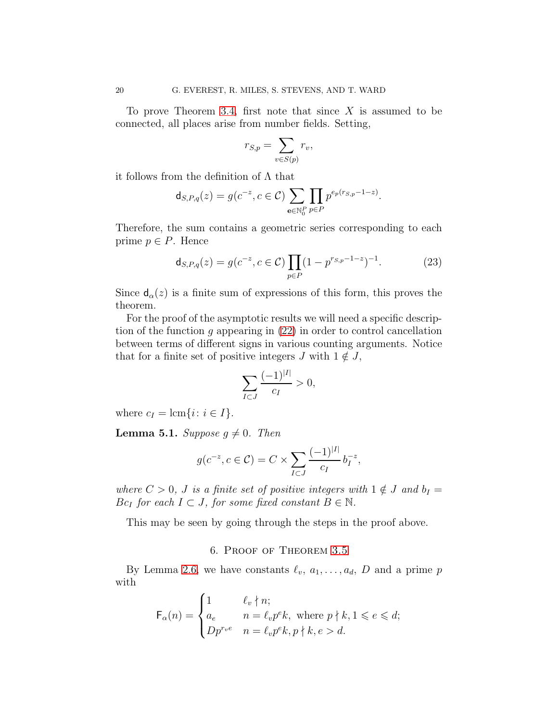To prove Theorem [3.4,](#page-10-1) first note that since  $X$  is assumed to be connected, all places arise from number fields. Setting,

$$
r_{S,p} = \sum_{v \in S(p)} r_v,
$$

it follows from the definition of  $\Lambda$  that

$$
\mathsf{d}_{S,P,q}(z) = g(c^{-z}, c \in \mathcal{C}) \sum_{e \in \mathbb{N}_0^P} \prod_{p \in P} p^{e_p(r_{S,p}-1-z)}.
$$

Therefore, the sum contains a geometric series corresponding to each prime  $p \in P$ . Hence

<span id="page-19-1"></span>
$$
\mathsf{d}_{S,P,q}(z) = g(c^{-z}, c \in \mathcal{C}) \prod_{p \in P} (1 - p^{rs, p-1-z})^{-1}.
$$
 (23)

Since  $d_{\alpha}(z)$  is a finite sum of expressions of this form, this proves the theorem.

For the proof of the asymptotic results we will need a specific description of the function  $g$  appearing in  $(22)$  in order to control cancellation between terms of different signs in various counting arguments. Notice that for a finite set of positive integers J with  $1 \notin J$ ,

$$
\sum_{I \subset J} \frac{(-1)^{|I|}}{c_I} > 0,
$$

<span id="page-19-2"></span>where  $c_I = \text{lcm}\{i: i \in I\}.$ 

**Lemma 5.1.** Suppose  $g \neq 0$ . Then

$$
g(c^{-z}, c \in \mathcal{C}) = C \times \sum_{I \subset J} \frac{(-1)^{|I|}}{c_I} b_I^{-z},
$$

where  $C > 0$ , J is a finite set of positive integers with  $1 \notin J$  and  $b_I =$  $Bc_I$  for each  $I \subset J$ , for some fixed constant  $B \in \mathbb{N}$ .

<span id="page-19-0"></span>This may be seen by going through the steps in the proof above.

## 6. Proof of Theorem [3.5](#page-11-0)

By Lemma [2.6,](#page-6-1) we have constants  $\ell_v, a_1, \ldots, a_d, D$  and a prime p with

$$
\mathsf{F}_{\alpha}(n) = \begin{cases} 1 & \ell_v \nmid n; \\ a_e & n = \ell_v p^e k, \text{ where } p \nmid k, 1 \leqslant e \leqslant d; \\ Dp^{r_v e} & n = \ell_v p^e k, p \nmid k, e > d. \end{cases}
$$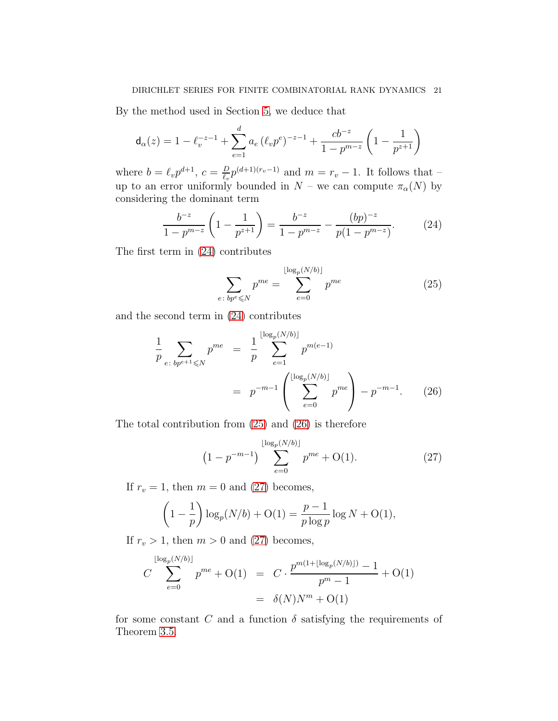By the method used in Section [5,](#page-15-0) we deduce that

$$
\mathsf{d}_{\alpha}(z) = 1 - \ell_v^{-z-1} + \sum_{e=1}^d a_e \left(\ell_v p^e\right)^{-z-1} + \frac{cb^{-z}}{1 - p^{m-z}} \left(1 - \frac{1}{p^{z+1}}\right)
$$

where  $b = \ell_v p^{d+1}$ ,  $c = \frac{D}{\ell_v}$  $\frac{D}{\ell_v}p^{(d+1)(r_v-1)}$  and  $m=r_v-1$ . It follows that – up to an error uniformly bounded in  $N$  – we can compute  $\pi_{\alpha}(N)$  by considering the dominant term

<span id="page-20-0"></span>
$$
\frac{b^{-z}}{1-p^{m-z}}\left(1-\frac{1}{p^{z+1}}\right) = \frac{b^{-z}}{1-p^{m-z}} - \frac{(bp)^{-z}}{p(1-p^{m-z})}.
$$
 (24)

The first term in [\(24\)](#page-20-0) contributes

<span id="page-20-1"></span>
$$
\sum_{e \colon bp^e \le N} p^{me} = \sum_{e=0}^{\lfloor \log_p(N/b) \rfloor} p^{me}
$$
 (25)

and the second term in [\(24\)](#page-20-0) contributes

<span id="page-20-2"></span>
$$
\frac{1}{p} \sum_{e \colon b p^{e+1} \leq N} p^{me} = \frac{1}{p} \sum_{e=1}^{\lfloor \log_p(N/b) \rfloor} p^{m(e-1)} \\
= p^{-m-1} \left( \sum_{e=0}^{\lfloor \log_p(N/b) \rfloor} p^{me} \right) - p^{-m-1}.\n\tag{26}
$$

The total contribution from [\(25\)](#page-20-1) and [\(26\)](#page-20-2) is therefore

<span id="page-20-3"></span>
$$
(1 - p^{-m-1}) \sum_{e=0}^{\lfloor \log_p(N/b) \rfloor} p^{me} + O(1). \tag{27}
$$

If  $r_v = 1$ , then  $m = 0$  and [\(27\)](#page-20-3) becomes,

$$
\left(1 - \frac{1}{p}\right) \log_p(N/b) + O(1) = \frac{p-1}{p \log p} \log N + O(1),
$$

If  $r_v > 1$ , then  $m > 0$  and [\(27\)](#page-20-3) becomes,

$$
C \sum_{e=0}^{\lfloor \log_p(N/b) \rfloor} p^{me} + O(1) = C \cdot \frac{p^{m(1+\lfloor \log_p(N/b) \rfloor)} - 1}{p^m - 1} + O(1)
$$
  
=  $\delta(N)N^m + O(1)$ 

for some constant C and a function  $\delta$  satisfying the requirements of Theorem [3.5.](#page-11-0)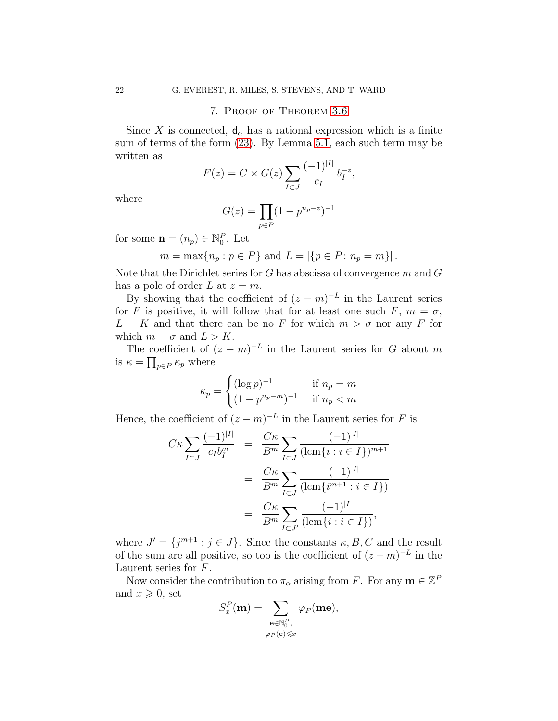### 7. Proof of Theorem [3.6](#page-11-1)

<span id="page-21-0"></span>Since X is connected,  $d_{\alpha}$  has a rational expression which is a finite sum of terms of the form [\(23\)](#page-19-1). By Lemma [5.1,](#page-19-2) each such term may be written as

$$
F(z) = C \times G(z) \sum_{I \subset J} \frac{(-1)^{|I|}}{c_I} b_I^{-z},
$$

where

$$
G(z) = \prod_{p \in P} (1 - p^{n_p - z})^{-1}
$$

for some  $\mathbf{n} = (n_p) \in \mathbb{N}_0^P$ . Let

$$
m = \max\{n_p : p \in P\}
$$
 and  $L = |\{p \in P : n_p = m\}|$ .

Note that the Dirichlet series for  $G$  has abscissa of convergence  $m$  and  $G$ has a pole of order L at  $z = m$ .

By showing that the coefficient of  $(z - m)^{-L}$  in the Laurent series for F is positive, it will follow that for at least one such F,  $m = \sigma$ ,  $L = K$  and that there can be no F for which  $m > \sigma$  nor any F for which  $m = \sigma$  and  $L > K$ .

The coefficient of  $(z - m)^{-L}$  in the Laurent series for G about m is  $\kappa = \prod_{p \in P} \kappa_p$  where

$$
\kappa_p = \begin{cases} (\log p)^{-1} & \text{if } n_p = m \\ (1 - p^{n_p - m})^{-1} & \text{if } n_p < m \end{cases}
$$

Hence, the coefficient of  $(z - m)^{-L}$  in the Laurent series for F is

$$
C\kappa \sum_{I \subset J} \frac{(-1)^{|I|}}{c_I b_I^m} = \frac{C\kappa}{B^m} \sum_{I \subset J} \frac{(-1)^{|I|}}{(\operatorname{lcm}\{i : i \in I\})^{m+1}}
$$
  
= 
$$
\frac{C\kappa}{B^m} \sum_{I \subset J} \frac{(-1)^{|I|}}{(\operatorname{lcm}\{i^{m+1} : i \in I\})}
$$
  
= 
$$
\frac{C\kappa}{B^m} \sum_{I \subset J'} \frac{(-1)^{|I|}}{(\operatorname{lcm}\{i : i \in I\})},
$$

where  $J' = \{j^{m+1} : j \in J\}$ . Since the constants  $\kappa, B, C$  and the result of the sum are all positive, so too is the coefficient of  $(z - m)^{-L}$  in the Laurent series for F.

Now consider the contribution to  $\pi_{\alpha}$  arising from F. For any  $\mathbf{m} \in \mathbb{Z}^F$ and  $x \geqslant 0$ , set

$$
S_x^P(\mathbf{m}) = \sum_{\substack{\mathbf{e} \in \mathbb{N}_0^P, \\ \varphi_P(\mathbf{e}) \le x}} \varphi_P(\mathbf{m}\mathbf{e}),
$$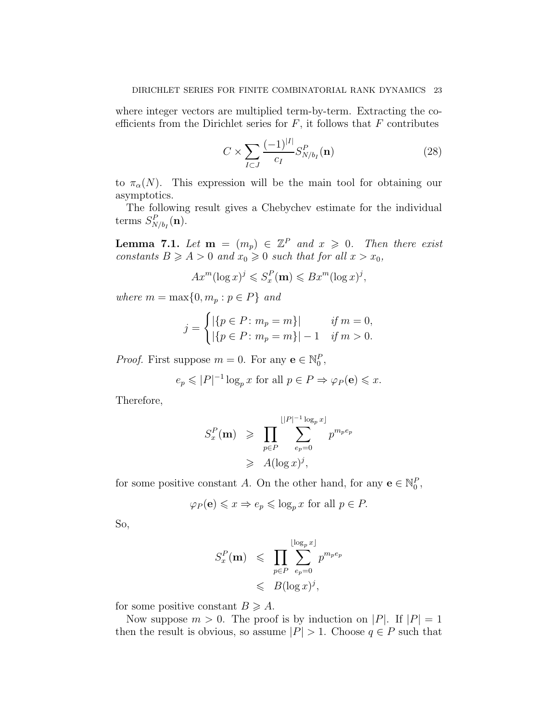where integer vectors are multiplied term-by-term. Extracting the coefficients from the Dirichlet series for  $F$ , it follows that  $F$  contributes

<span id="page-22-0"></span>
$$
C \times \sum_{I \subset J} \frac{(-1)^{|I|}}{c_I} S^P_{N/b_I}(\mathbf{n}) \tag{28}
$$

to  $\pi_{\alpha}(N)$ . This expression will be the main tool for obtaining our asymptotics.

<span id="page-22-1"></span>The following result gives a Chebychev estimate for the individual terms  $S_{N/b_I}^P(\mathbf{n})$ .

**Lemma 7.1.** Let  $\mathbf{m} = (m_p) \in \mathbb{Z}^P$  and  $x \geq 0$ . Then there exist constants  $B \geq A > 0$  and  $x_0 \geq 0$  such that for all  $x > x_0$ ,

$$
Ax^m(\log x)^j \leqslant S_x^P(\mathbf{m}) \leqslant Bx^m(\log x)^j,
$$

where  $m = \max\{0, m_p : p \in P\}$  and

$$
j = \begin{cases} |\{p \in P \colon m_p = m\}| & \text{if } m = 0, \\ |\{p \in P \colon m_p = m\}| - 1 & \text{if } m > 0. \end{cases}
$$

*Proof.* First suppose  $m = 0$ . For any  $\mathbf{e} \in \mathbb{N}_0^P$ ,

 $e_p \leqslant |P|^{-1} \log_p x$  for all  $p \in P \Rightarrow \varphi_P(\mathbf{e}) \leqslant x$ .

Therefore,

$$
S_x^P(\mathbf{m}) \geqslant \prod_{p \in P} \sum_{e_p=0}^{\lfloor |P|^{-1} \log_p x \rfloor} p^{m_p e_p}
$$
  
 
$$
\geqslant A(\log x)^j,
$$

for some positive constant A. On the other hand, for any  $\mathbf{e} \in \mathbb{N}_0^P$ ,

$$
\varphi_P(\mathbf{e}) \leq x \Rightarrow e_p \leq \log_p x
$$
 for all  $p \in P$ .

So,

$$
S_x^P(\mathbf{m}) \leqslant \prod_{p \in P} \sum_{e_p=0}^{\lfloor \log_p x \rfloor} p^{m_p e_p} \leqslant B(\log x)^j,
$$

for some positive constant  $B \geq A$ .

Now suppose  $m > 0$ . The proof is by induction on |P|. If  $|P| = 1$ then the result is obvious, so assume  $|P| > 1$ . Choose  $q \in P$  such that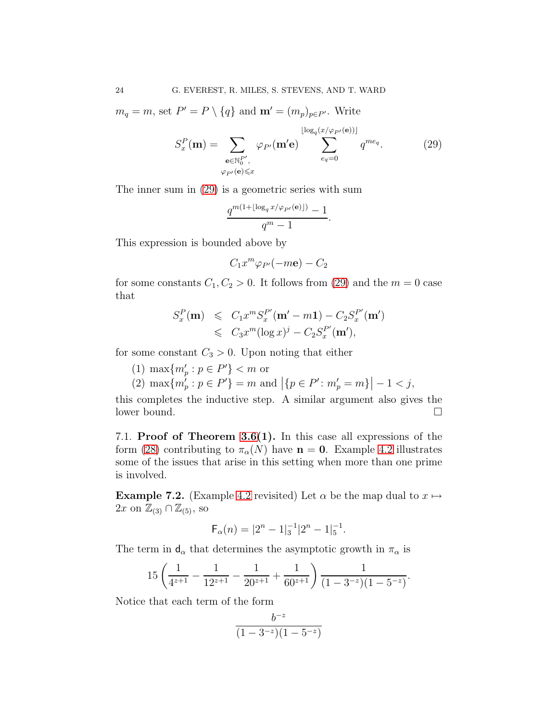$m_q = m$ , set  $P' = P \setminus \{q\}$  and  $\mathbf{m}' = (m_p)_{p \in P'}$ . Write

<span id="page-23-2"></span>
$$
S_x^P(\mathbf{m}) = \sum_{\substack{\mathbf{e} \in \mathbb{N}_0^{P'} , \\ \varphi_{P'}(\mathbf{e}) \le x}} \varphi_{P'}(\mathbf{m'}\mathbf{e}) \sum_{e_q=0}^{\lfloor \log_q(x/\varphi_{P'}(\mathbf{e})) \rfloor} q^{me_q}.
$$
 (29)

The inner sum in [\(29\)](#page-23-2) is a geometric series with sum

$$
\frac{q^{m(1+\lfloor \log_q x/\varphi_{P'}(e)\rfloor)}-1}{q^m-1}.
$$

This expression is bounded above by

$$
C_1x^m\varphi_{P'}(-m\mathbf{e})-C_2
$$

for some constants  $C_1, C_2 > 0$ . It follows from [\(29\)](#page-23-2) and the  $m = 0$  case that

$$
S_x^P(\mathbf{m}) \leq C_1 x^m S_x^{P'}(\mathbf{m}' - m\mathbf{1}) - C_2 S_x^{P'}(\mathbf{m}')
$$
  

$$
\leq C_3 x^m (\log x)^j - C_2 S_x^{P'}(\mathbf{m}'),
$$

for some constant  $C_3 > 0$ . Upon noting that either

- (1)  $\max\{m'_p : p \in P'\} < m$  or
- (2)  $\max\{m'_p : p \in P'\} = m$  and  $|\{p \in P' : m'_p = m\}| 1 < j$ ,

this completes the inductive step. A similar argument also gives the lower bound.

<span id="page-23-1"></span>7.1. Proof of Theorem [3.6\(](#page-11-1)1). In this case all expressions of the form [\(28\)](#page-22-0) contributing to  $\pi_{\alpha}(N)$  have  $n = 0$ . Example [4.2](#page-13-1) illustrates some of the issues that arise in this setting when more than one prime is involved.

<span id="page-23-0"></span>**Example 7.2.** (Example [4.2](#page-13-1) revisited) Let  $\alpha$  be the map dual to  $x \mapsto$  $2x$  on  $\mathbb{Z}_{(3)} \cap \mathbb{Z}_{(5)}$ , so

$$
\mathsf{F}_{\alpha}(n) = |2^{n} - 1|_{3}^{-1}|2^{n} - 1|_{5}^{-1}.
$$

The term in  $d_{\alpha}$  that determines the asymptotic growth in  $\pi_{\alpha}$  is

$$
15\left(\frac{1}{4^{z+1}}-\frac{1}{12^{z+1}}-\frac{1}{20^{z+1}}+\frac{1}{60^{z+1}}\right)\frac{1}{(1-3^{-z})(1-5^{-z})}.
$$

Notice that each term of the form

$$
\frac{b^{-z}}{(1-3^{-z})(1-5^{-z})}
$$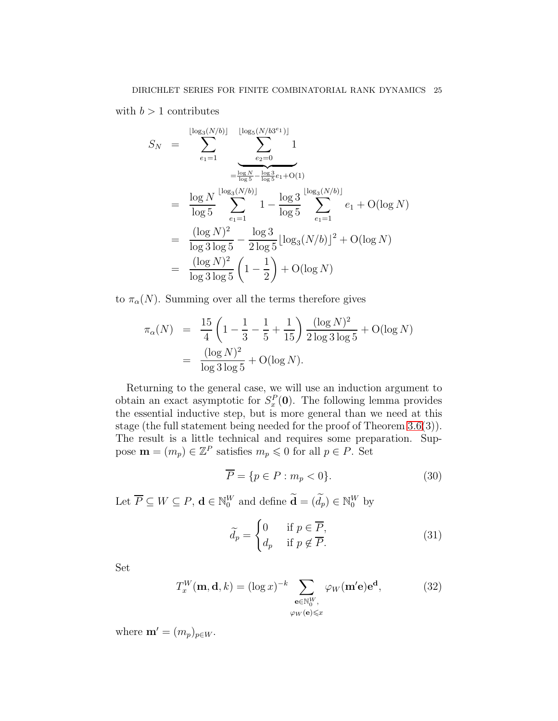with  $b > 1$  contributes

$$
S_N = \sum_{e_1=1}^{\lfloor \log_3(N/b) \rfloor} \sum_{e_2=0}^{\lfloor \log_5(N/b)^2 \rfloor} 1
$$
  
\n
$$
= \frac{\log N}{\log 5} \sum_{e_1=1}^{\frac{\log N}{\log 5} - \frac{\log 3}{\log 5} e_1 + O(1)}
$$
  
\n
$$
= \frac{\log N}{\log 5} \sum_{e_1=1}^{\lfloor \log_3(N/b) \rfloor} 1 - \frac{\log 3}{\log 5} \sum_{e_1=1}^{\lfloor \log_3(N/b) \rfloor} e_1 + O(\log N)
$$
  
\n
$$
= \frac{(\log N)^2}{\log 3 \log 5} - \frac{\log 3}{2 \log 5} [\log_3(N/b)]^2 + O(\log N)
$$
  
\n
$$
= \frac{(\log N)^2}{\log 3 \log 5} \left(1 - \frac{1}{2}\right) + O(\log N)
$$

to  $\pi_{\alpha}(N)$ . Summing over all the terms therefore gives

$$
\pi_{\alpha}(N) = \frac{15}{4} \left( 1 - \frac{1}{3} - \frac{1}{5} + \frac{1}{15} \right) \frac{(\log N)^2}{2 \log 3 \log 5} + O(\log N)
$$
  
= 
$$
\frac{(\log N)^2}{\log 3 \log 5} + O(\log N).
$$

Returning to the general case, we will use an induction argument to obtain an exact asymptotic for  $S_x^P(0)$ . The following lemma provides the essential inductive step, but is more general than we need at this stage (the full statement being needed for the proof of Theorem [3.6\(](#page-11-1)3)). The result is a little technical and requires some preparation. Suppose  $\mathbf{m} = (m_p) \in \mathbb{Z}^P$  satisfies  $m_p \leq 0$  for all  $p \in P$ . Set

<span id="page-24-0"></span>
$$
\overline{P} = \{ p \in P : m_p < 0 \}. \tag{30}
$$

Let  $\overline{P} \subseteq W \subseteq P$ ,  $\mathbf{d} \in \mathbb{N}_0^W$  and define  $\mathbf{d} = (d_p) \in \mathbb{N}_0^W$  by

<span id="page-24-2"></span>
$$
\widetilde{d_p} = \begin{cases} 0 & \text{if } p \in \overline{P}, \\ d_p & \text{if } p \notin \overline{P}. \end{cases}
$$
\n(31)

Set

<span id="page-24-1"></span>
$$
T_x^W(\mathbf{m}, \mathbf{d}, k) = (\log x)^{-k} \sum_{\substack{\mathbf{e} \in \mathbb{N}_0^W, \\ \varphi_W(\mathbf{e}) \le x}} \varphi_W(\mathbf{m}' \mathbf{e}) \mathbf{e}^{\mathbf{d}},\tag{32}
$$

where  $\mathbf{m}' = (m_p)_{p \in W}$ .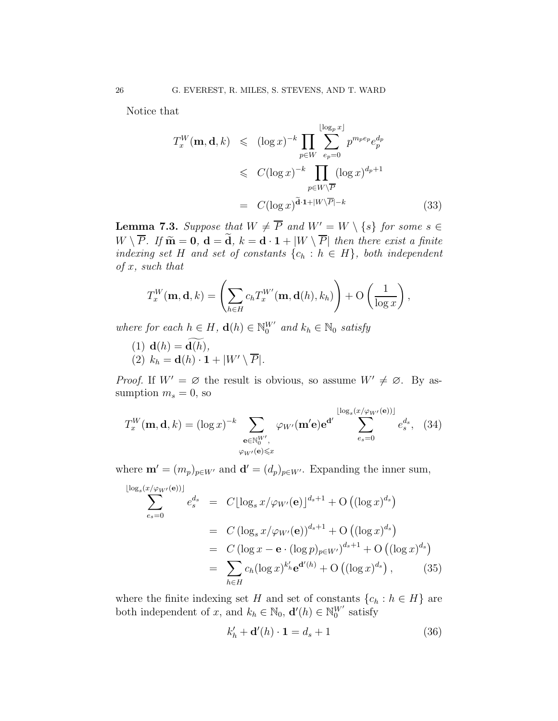Notice that

<span id="page-25-2"></span>
$$
T_x^W(\mathbf{m}, \mathbf{d}, k) \leq (\log x)^{-k} \prod_{p \in W} \sum_{e_p=0}^{\lfloor \log_p x \rfloor} p^{m_p e_p} e_p^{d_p}
$$
  

$$
\leq C(\log x)^{-k} \prod_{p \in W \setminus \overline{P}} (\log x)^{d_p+1}
$$
  

$$
= C(\log x)^{\widetilde{\mathbf{d}} \cdot \mathbf{1} + |W \setminus \overline{P}| - k}
$$
(33)

<span id="page-25-4"></span>**Lemma 7.3.** Suppose that  $W \neq \overline{P}$  and  $W' = W \setminus \{s\}$  for some  $s \in \mathbb{C}$  $W \setminus \overline{P}$ . If  $\widetilde{\mathbf{m}} = \mathbf{0}$ ,  $\mathbf{d} = \widetilde{\mathbf{d}}$ ,  $k = \mathbf{d} \cdot \mathbf{1} + |W \setminus \overline{P}|$  then there exist a finite indexing set H and set of constants  $\{c_h : h \in H\}$ , both independent  $of x, such that$ 

$$
T_x^W(\mathbf{m}, \mathbf{d}, k) = \left(\sum_{h \in H} c_h T_x^{W'}(\mathbf{m}, \mathbf{d}(h), k_h)\right) + \mathcal{O}\left(\frac{1}{\log x}\right),
$$

where for each  $h \in H$ ,  $\mathbf{d}(h) \in \mathbb{N}_0^W$  and  $k_h \in \mathbb{N}_0$  satisfy

(1)  ${\bf d}(h) = {\bf d}(h)$ , (2)  $k_h = \mathbf{d}(h) \cdot \mathbf{1} + |W' \setminus \overline{P}|.$ 

*Proof.* If  $W' = \emptyset$  the result is obvious, so assume  $W' \neq \emptyset$ . By assumption  $m_s = 0$ , so

<span id="page-25-1"></span>
$$
T_x^W(\mathbf{m}, \mathbf{d}, k) = (\log x)^{-k} \sum_{\substack{\mathbf{e} \in \mathbb{N}_0^{W'} , \\ \varphi_{W'}(\mathbf{e}) \le x}} \varphi_{W'}(\mathbf{m}' \mathbf{e}) \mathbf{e}^{\mathbf{d}'} \sum_{e_s = 0}^{\lfloor \log_s (x/\varphi_{W'}(\mathbf{e})) \rfloor} e_s^{d_s}, \quad (34)
$$

where  $\mathbf{m}' = (m_p)_{p \in W'}$  and  $\mathbf{d}' = (d_p)_{p \in W'}$ . Expanding the inner sum,

<span id="page-25-0"></span>
$$
\sum_{e_s=0}^{\lfloor \log_s(x/\varphi_{W'}(e)) \rfloor} e_s^{d_s} = C \lfloor \log_s x/\varphi_{W'}(e) \rfloor^{d_s+1} + O\left( (\log x)^{d_s} \right)
$$
  
=  $C (\log_s x/\varphi_{W'}(e))^{d_s+1} + O\left( (\log x)^{d_s} \right)$   
=  $C (\log x - e \cdot (\log p)_{p \in W'} \right)^{d_s+1} + O\left( (\log x)^{d_s} \right)$   
=  $\sum_{h \in H} c_h (\log x)^{k'_h} e^{d'(h)} + O\left( (\log x)^{d_s} \right),$  (35)

where the finite indexing set H and set of constants  ${c_h : h \in H}$  are both independent of x, and  $k_h \in \mathbb{N}_0$ ,  $\mathbf{d}'(h) \in \mathbb{N}_0^W$  satisfy

<span id="page-25-3"></span>
$$
k'_h + \mathbf{d}'(h) \cdot \mathbf{1} = d_s + 1 \tag{36}
$$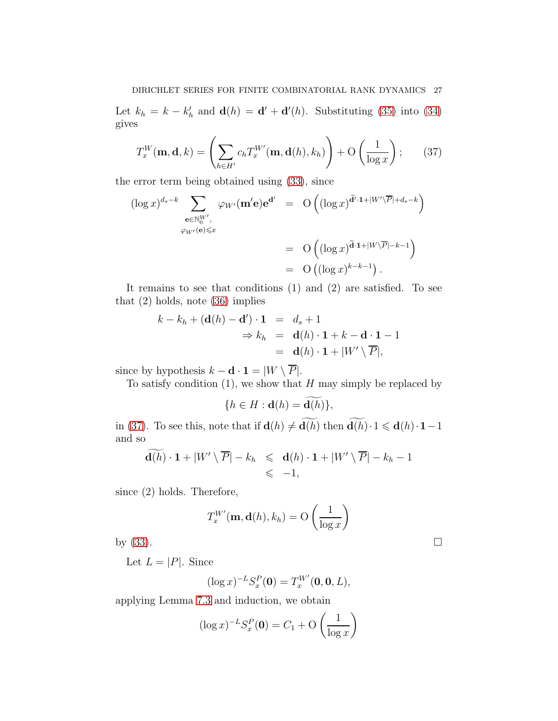Let  $k_h = k - k'_h$  and  $\mathbf{d}(h) = \mathbf{d}' + \mathbf{d}'(h)$ . Substituting [\(35\)](#page-25-0) into [\(34\)](#page-25-1) gives

<span id="page-26-0"></span>
$$
T_x^W(\mathbf{m}, \mathbf{d}, k) = \left(\sum_{h \in H'} c_h T_x^{W'}(\mathbf{m}, \mathbf{d}(h), k_h)\right) + \mathcal{O}\left(\frac{1}{\log x}\right); \qquad (37)
$$

the error term being obtained using [\(33\)](#page-25-2), since

$$
(\log x)^{d_s - k} \sum_{\substack{\mathbf{e} \in \mathbb{N}_0^{W'} , \\ \varphi_{W'}(\mathbf{e}) \leq x}} \varphi_{W'}(\mathbf{m}'\mathbf{e}) \mathbf{e}^{\mathbf{d}'} = \mathcal{O}\left((\log x)^{\widetilde{\mathbf{d}}' \cdot \mathbf{1} + |W' \setminus \overline{P}| + d_s - k}\right)
$$

$$
= \mathcal{O}\left((\log x)^{\widetilde{\mathbf{d}} \cdot \mathbf{1} + |W \setminus \overline{P}| - k - 1}\right)
$$

$$
= \mathcal{O}\left((\log x)^{k - k - 1}\right).
$$

It remains to see that conditions (1) and (2) are satisfied. To see that (2) holds, note [\(36\)](#page-25-3) implies

$$
k - k_h + (\mathbf{d}(h) - \mathbf{d}') \cdot \mathbf{1} = d_s + 1
$$
  
\n
$$
\Rightarrow k_h = \mathbf{d}(h) \cdot \mathbf{1} + k - \mathbf{d} \cdot \mathbf{1} - 1
$$
  
\n
$$
= \mathbf{d}(h) \cdot \mathbf{1} + |W' \setminus \overline{P}|,
$$

since by hypothesis  $k - \mathbf{d} \cdot \mathbf{1} = |W \setminus \overline{P}|.$ 

To satisfy condition  $(1)$ , we show that H may simply be replaced by

$$
\{h \in H : \mathbf{d}(h) = \widetilde{\mathbf{d}(h)}\},
$$

in [\(37\)](#page-26-0). To see this, note that if  $\mathbf{d}(h) \neq \widetilde{\mathbf{d}(h)}$  then  $\widetilde{\mathbf{d}(h)}\cdot 1 \leq \mathbf{d}(h)\cdot 1-1$ and so

$$
\mathbf{d}(h) \cdot \mathbf{1} + |W' \setminus \overline{P}| - k_h \leq \mathbf{d}(h) \cdot \mathbf{1} + |W' \setminus \overline{P}| - k_h - 1
$$
  

$$
\leq -1,
$$

since (2) holds. Therefore,

$$
T_x^{W'}(\mathbf{m}, \mathbf{d}(h), k_h) = \mathcal{O}\left(\frac{1}{\log x}\right)
$$

by  $(33)$ .

Let  $L = |P|$ . Since

$$
(\log x)^{-L} S_x^P(\mathbf{0}) = T_x^{W'}(\mathbf{0}, \mathbf{0}, L),
$$

applying Lemma [7.3](#page-25-4) and induction, we obtain

$$
(\log x)^{-L} S_x^P(\mathbf{0}) = C_1 + \mathcal{O}\left(\frac{1}{\log x}\right)
$$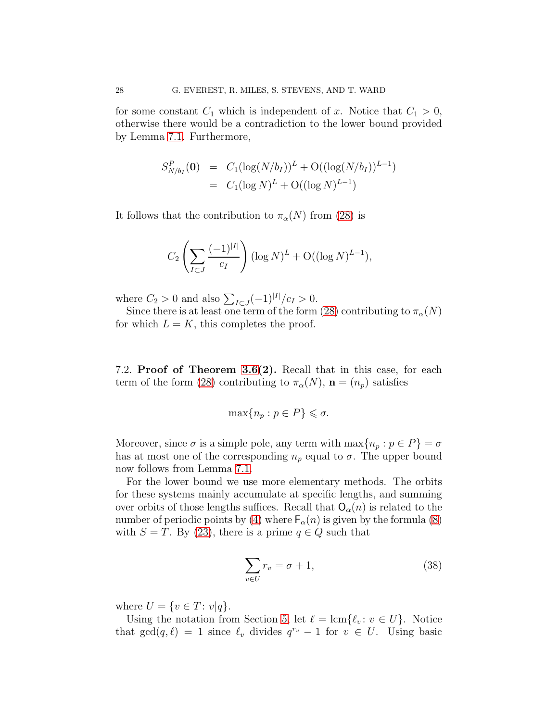for some constant  $C_1$  which is independent of x. Notice that  $C_1 > 0$ , otherwise there would be a contradiction to the lower bound provided by Lemma [7.1.](#page-22-1) Furthermore,

$$
S_{N/b_I}^P(\mathbf{0}) = C_1(\log(N/b_I))^L + O((\log(N/b_I))^{L-1})
$$
  
=  $C_1(\log N)^L + O((\log N)^{L-1})$ 

It follows that the contribution to  $\pi_{\alpha}(N)$  from [\(28\)](#page-22-0) is

$$
C_2 \left( \sum_{I \subset J} \frac{(-1)^{|I|}}{c_I} \right) (\log N)^L + \mathcal{O}((\log N)^{L-1}),
$$

where  $C_2 > 0$  and also  $\sum_{I \subset J} (-1)^{|I|}/c_I > 0$ .

Since there is at least one term of the form [\(28\)](#page-22-0) contributing to  $\pi_{\alpha}(N)$ for which  $L = K$ , this completes the proof.

7.2. Proof of Theorem [3.6\(](#page-11-1)2). Recall that in this case, for each term of the form [\(28\)](#page-22-0) contributing to  $\pi_{\alpha}(N)$ ,  $\mathbf{n} = (n_p)$  satisfies

$$
\max\{n_p : p \in P\} \leq \sigma.
$$

Moreover, since  $\sigma$  is a simple pole, any term with  $\max\{n_p : p \in P\} = \sigma$ has at most one of the corresponding  $n_p$  equal to  $\sigma$ . The upper bound now follows from Lemma [7.1.](#page-22-1)

For the lower bound we use more elementary methods. The orbits for these systems mainly accumulate at specific lengths, and summing over orbits of those lengths suffices. Recall that  $O_{\alpha}(n)$  is related to the number of periodic points by [\(4\)](#page-9-1) where  $F_{\alpha}(n)$  is given by the formula [\(8\)](#page-16-5) with  $S = T$ . By [\(23\)](#page-19-1), there is a prime  $q \in Q$  such that

<span id="page-27-0"></span>
$$
\sum_{v \in U} r_v = \sigma + 1,\tag{38}
$$

where  $U = \{v \in T : v | q\}.$ 

Using the notation from Section [5,](#page-15-0) let  $\ell = \text{lcm}\{\ell_v : v \in U\}$ . Notice that  $gcd(q, \ell) = 1$  since  $\ell_v$  divides  $q^{r_v} - 1$  for  $v \in U$ . Using basic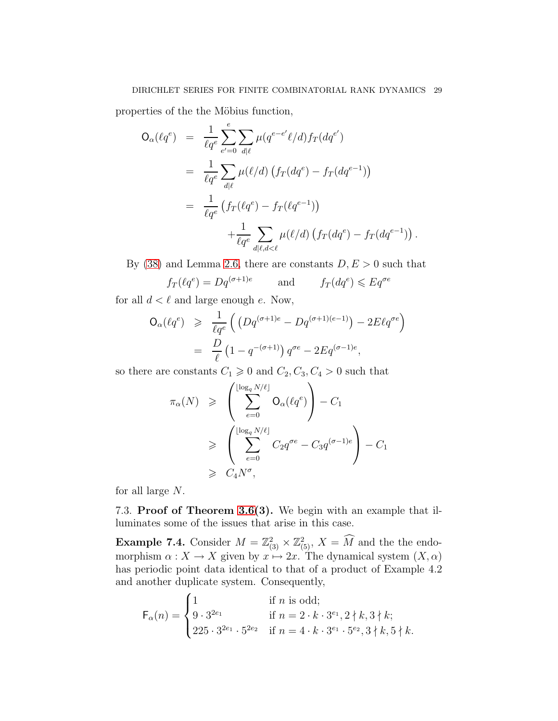properties of the the Möbius function,

$$
O_{\alpha}(\ell q^{e}) = \frac{1}{\ell q^{e}} \sum_{e'=0}^{e} \sum_{d|\ell} \mu(q^{e-e'}\ell/d) f_{T}(dq^{e'})
$$
  
= 
$$
\frac{1}{\ell q^{e}} \sum_{d|\ell} \mu(\ell/d) (f_{T}(dq^{e}) - f_{T}(dq^{e-1}))
$$
  
= 
$$
\frac{1}{\ell q^{e}} (f_{T}(\ell q^{e}) - f_{T}(\ell q^{e-1}))
$$
  
+ 
$$
\frac{1}{\ell q^{e}} \sum_{d|\ell,d<\ell} \mu(\ell/d) (f_{T}(dq^{e}) - f_{T}(dq^{e-1})).
$$

By [\(38\)](#page-27-0) and Lemma [2.6,](#page-6-1) there are constants  $D, E > 0$  such that

$$
f_T(\ell q^e) = Dq^{(\sigma+1)e}
$$
 and  $f_T(dq^e) \leq Eq^{\sigma e}$ 

for all  $d < \ell$  and large enough  $e$ . Now,

$$
\begin{array}{rcl} \mathsf{O}_{\alpha}(\ell q^{e}) & \geqslant & \frac{1}{\ell q^{e}} \left( \left( Dq^{(\sigma+1)e} - Dq^{(\sigma+1)(e-1)} \right) - 2E\ell q^{\sigma e} \right) \\ & = & \frac{D}{\ell} \left( 1 - q^{-(\sigma+1)} \right) q^{\sigma e} - 2Eq^{(\sigma-1)e}, \end{array}
$$

so there are constants  $C_1 \geq 0$  and  $C_2, C_3, C_4 > 0$  such that

$$
\pi_{\alpha}(N) \geq \left(\sum_{e=0}^{\lfloor \log_{q} N/\ell \rfloor} \mathsf{O}_{\alpha}(\ell q^{e})\right) - C_{1}
$$
\n
$$
\geq \left(\sum_{e=0}^{\lfloor \log_{q} N/\ell \rfloor} C_{2} q^{\sigma e} - C_{3} q^{(\sigma-1)e}\right) - C_{1}
$$
\n
$$
\geq C_{4} N^{\sigma},
$$

for all large N.

<span id="page-28-0"></span>7.3. Proof of Theorem [3.6\(](#page-11-1)3). We begin with an example that illuminates some of the issues that arise in this case.

**Example 7.4.** Consider  $M = \mathbb{Z}_{(3)}^2 \times \mathbb{Z}_{(5)}^2$ ,  $X = \overline{M}$  and the the endomorphism  $\alpha : X \to X$  given by  $x \mapsto 2x$ . The dynamical system  $(X, \alpha)$ has periodic point data identical to that of a product of Example 4.2 and another duplicate system. Consequently,

$$
\mathsf{F}_{\alpha}(n) = \begin{cases} 1 & \text{if } n \text{ is odd}; \\ 9 \cdot 3^{2e_1} & \text{if } n = 2 \cdot k \cdot 3^{e_1}, 2 \nmid k, 3 \nmid k; \\ 225 \cdot 3^{2e_1} \cdot 5^{2e_2} & \text{if } n = 4 \cdot k \cdot 3^{e_1} \cdot 5^{e_2}, 3 \nmid k, 5 \nmid k. \end{cases}
$$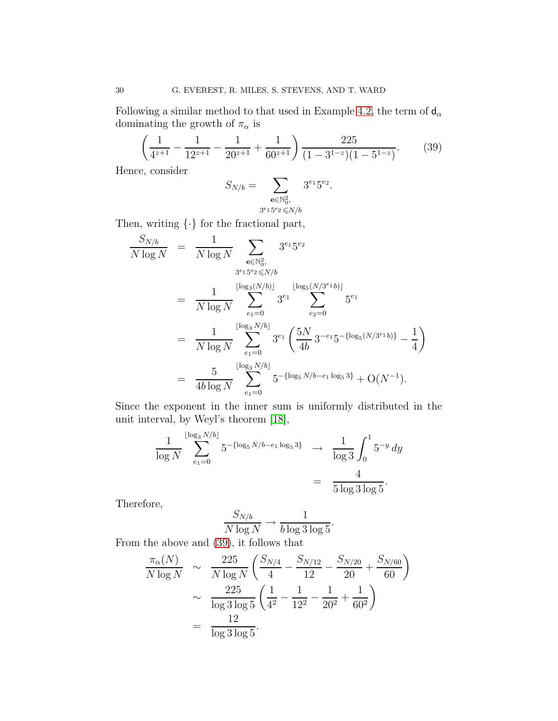Following a similar method to that used in Example [4.2,](#page-13-1) the term of  $d_{\alpha}$ dominating the growth of  $\pi_{\alpha}$  is

<span id="page-29-0"></span>
$$
\left(\frac{1}{4^{z+1}} - \frac{1}{12^{z+1}} - \frac{1}{20^{z+1}} + \frac{1}{60^{z+1}}\right) \frac{225}{(1-3^{1-z})(1-5^{1-z})}.
$$
 (39)

Hence, consider

$$
S_{N/b} = \sum_{\substack{\mathbf{e} \in \mathbb{N}_0^2, \\ 3^{e_1} 5^{e_2} \leq N/b}} 3^{e_1} 5^{e_2}.
$$

Then, writing  $\{\cdot\}$  for the fractional part,

$$
\frac{S_{N/b}}{N \log N} = \frac{1}{N \log N} \sum_{\substack{\mathbf{e} \in \mathbb{N}_0^2, \\ 3^{e_1} 5^{e_2} \leq N/b}} 3^{e_1} 5^{e_2}
$$
\n
$$
= \frac{1}{N \log N} \sum_{e_1=0}^{\lfloor \log_3(N/b) \rfloor} 3^{e_1} \sum_{e_2=0}^{\lfloor \log_5(N/3^{e_1}b) \rfloor} 5^{e_1}
$$
\n
$$
= \frac{1}{N \log N} \sum_{e_1=0}^{\lfloor \log_3 N/b \rfloor} 3^{e_1} \left( \frac{5N}{4b} 3^{-e_1} 5^{-\{\log_5(N/3^{e_1}b)\}} - \frac{1}{4} \right)
$$
\n
$$
= \frac{5}{4b \log N} \sum_{e_1=0}^{\lfloor \log_3 N/b \rfloor} 5^{-\{\log_5 N/b - e_1 \log_5 3\}} + \mathcal{O}(N^{-1}).
$$

Since the exponent in the inner sum is uniformly distributed in the unit interval, by Weyl's theorem [\[18\]](#page-35-5),

$$
\frac{1}{\log N} \sum_{e_1=0}^{\lfloor \log_3 N/b \rfloor} 5^{-\{\log_5 N/b - e_1 \log_5 3\}} \longrightarrow \frac{1}{\log 3} \int_0^1 5^{-y} dy
$$

$$
= \frac{4}{5 \log 3 \log 5}.
$$

Therefore,

$$
\frac{S_{N/b}}{N\log N} \to \frac{1}{b\log 3\log 5}.
$$

From the above and [\(39\)](#page-29-0), it follows that

$$
\frac{\pi_{\alpha}(N)}{N \log N} \sim \frac{225}{N \log N} \left( \frac{S_{N/4}}{4} - \frac{S_{N/12}}{12} - \frac{S_{N/20}}{20} + \frac{S_{N/60}}{60} \right)
$$

$$
\sim \frac{225}{\log 3 \log 5} \left( \frac{1}{4^2} - \frac{1}{12^2} - \frac{1}{20^2} + \frac{1}{60^2} \right)
$$

$$
= \frac{12}{\log 3 \log 5}.
$$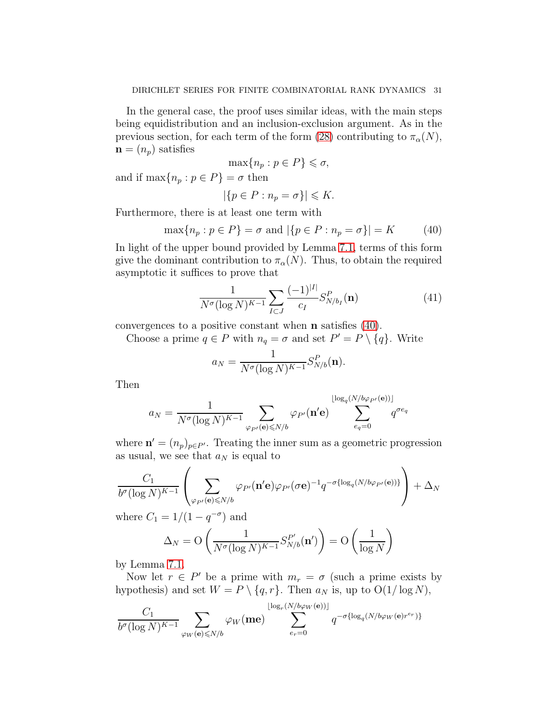In the general case, the proof uses similar ideas, with the main steps being equidistribution and an inclusion-exclusion argument. As in the previous section, for each term of the form [\(28\)](#page-22-0) contributing to  $\pi_{\alpha}(N)$ ,  $\mathbf{n} = (n_p)$  satisfies

$$
\max\{n_p : p \in P\} \leqslant \sigma,
$$

and if  $\max\{n_p : p \in P\} = \sigma$  then

$$
|\{p \in P : n_p = \sigma\}| \leq K.
$$

Furthermore, there is at least one term with

<span id="page-30-0"></span>
$$
\max\{n_p : p \in P\} = \sigma \text{ and } |\{p \in P : n_p = \sigma\}| = K \tag{40}
$$

In light of the upper bound provided by Lemma [7.1,](#page-22-1) terms of this form give the dominant contribution to  $\pi_{\alpha}(N)$ . Thus, to obtain the required asymptotic it suffices to prove that

<span id="page-30-1"></span>
$$
\frac{1}{N^{\sigma}(\log N)^{K-1}} \sum_{I \subset J} \frac{(-1)^{|I|}}{c_I} S_{N/b_I}^P(\mathbf{n}) \tag{41}
$$

convergences to a positive constant when n satisfies [\(40\)](#page-30-0).

Choose a prime  $q \in P$  with  $n_q = \sigma$  and set  $P' = P \setminus \{q\}$ . Write

$$
a_N = \frac{1}{N^{\sigma}(\log N)^{K-1}} S_{N/b}^P(\mathbf{n}).
$$

Then

$$
a_N = \frac{1}{N^{\sigma}(\log N)^{K-1}} \sum_{\varphi_{P'}(\mathbf{e}) \le N/b} \varphi_{P'}(\mathbf{n'}\mathbf{e}) \sum_{e_q=0}^{\lfloor \log_q(N/b\varphi_{P'}(\mathbf{e})) \rfloor} q^{\sigma e_q}
$$

where  $\mathbf{n}' = (n_p)_{p \in P'}$ . Treating the inner sum as a geometric progression as usual, we see that  $a_N$  is equal to

$$
\frac{C_1}{b^{\sigma}(\log N)^{K-1}}\left(\sum_{\varphi_{P'}(\mathbf{e})\leq N/b}\varphi_{P'}(\mathbf{n'}\mathbf{e})\varphi_{P'}(\sigma\mathbf{e})^{-1}q^{-\sigma\{\log_q(N/b\varphi_{P'}(\mathbf{e}))\}}\right)+\Delta_N
$$

where  $C_1 = 1/(1 - q^{-\sigma})$  and

$$
\Delta_N = \mathcal{O}\left(\frac{1}{N^{\sigma}(\log N)^{K-1}} S_{N/b}^{P'}(\mathbf{n}')\right) = \mathcal{O}\left(\frac{1}{\log N}\right)
$$

by Lemma [7.1.](#page-22-1)

Now let  $r \in P'$  be a prime with  $m_r = \sigma$  (such a prime exists by hypothesis) and set  $W = P \setminus \{q, r\}$ . Then  $a_N$  is, up to  $O(1/\log N)$ ,

$$
\frac{C_1}{b^{\sigma}(\log N)^{K-1}} \sum_{\varphi_W(\mathbf{e}) \le N/b} \varphi_W(\mathbf{me}) \sum_{e_r=0}^{\lfloor \log_r(N/b\varphi_W(\mathbf{e})) \rfloor} q^{-\sigma \{\log_q(N/b\varphi_W(\mathbf{e})r^{e_r})\}}
$$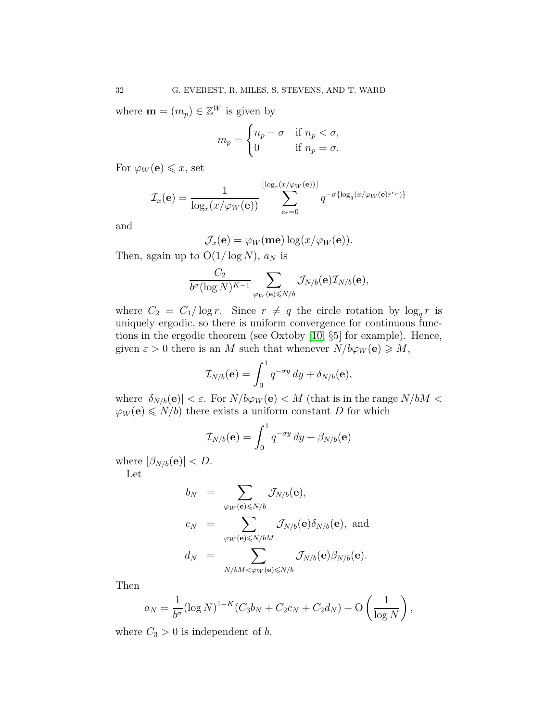where  $\mathbf{m} = (m_p) \in \mathbb{Z}^W$  is given by

$$
m_p = \begin{cases} n_p - \sigma & \text{if } n_p < \sigma, \\ 0 & \text{if } n_p = \sigma. \end{cases}
$$

For  $\varphi_W(\mathbf{e}) \leqslant x$ , set

$$
\mathcal{I}_x(\mathbf{e}) = \frac{1}{\log_r(x/\varphi_W(\mathbf{e}))} \sum_{e_r=0}^{\lfloor \log_r(x/\varphi_W(\mathbf{e})) \rfloor} q^{-\sigma \{\log_q(x/\varphi_W(\mathbf{e})r^{e_r})\}}
$$

and

$$
\mathcal{J}_x(\mathbf{e}) = \varphi_W(\mathbf{me}) \log(x/\varphi_W(\mathbf{e})).
$$

Then, again up to  $O(1/\log N)$ ,  $a_N$  is

$$
\frac{C_2}{b^{\sigma}(\log N)^{K-1}}\sum_{\varphi_W(\mathbf{e})\leq N/b}\mathcal{J}_{N/b}(\mathbf{e})\mathcal{I}_{N/b}(\mathbf{e}),
$$

where  $C_2 = C_1 / \log r$ . Since  $r \neq q$  the circle rotation by  $\log_q r$  is uniquely ergodic, so there is uniform convergence for continuous functions in the ergodic theorem (see Oxtoby [\[10,](#page-34-12) §5] for example). Hence, given  $\varepsilon > 0$  there is an M such that whenever  $N/b\varphi_W(\mathbf{e}) \geq M$ ,

$$
\mathcal{I}_{N/b}(\mathbf{e}) = \int_0^1 q^{-\sigma y} dy + \delta_{N/b}(\mathbf{e}),
$$

where  $|\delta_{N/b}(e)| < \varepsilon$ . For  $N/b\varphi_W(e) < M$  (that is in the range  $N/bM <$  $\varphi_W(\mathbf{e}) \leq N/b$  there exists a uniform constant D for which

$$
\mathcal{I}_{N/b}(\mathbf{e}) = \int_0^1 q^{-\sigma y} \, dy + \beta_{N/b}(\mathbf{e})
$$

where  $|\beta_{N/b}(\mathbf{e})| < D$ . Let

$$
b_N = \sum_{\varphi_W(\mathbf{e}) \leq N/b} \mathcal{J}_{N/b}(\mathbf{e}),
$$
  
\n
$$
c_N = \sum_{\varphi_W(\mathbf{e}) \leq N/bM} \mathcal{J}_{N/b}(\mathbf{e}) \delta_{N/b}(\mathbf{e}), \text{ and}
$$
  
\n
$$
d_N = \sum_{N/bM < \varphi_W(\mathbf{e}) \leq N/b} \mathcal{J}_{N/b}(\mathbf{e}) \beta_{N/b}(\mathbf{e}).
$$

Then

$$
a_N = \frac{1}{b^{\sigma}} (\log N)^{1-K} (C_3 b_N + C_2 c_N + C_2 d_N) + O\left(\frac{1}{\log N}\right),\,
$$

<span id="page-31-0"></span>where  $C_3 > 0$  is independent of b.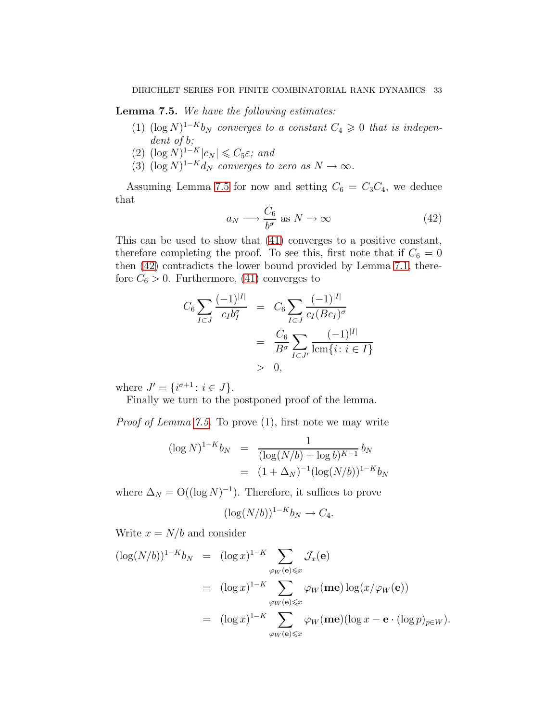Lemma 7.5. We have the following estimates:

- (1)  $(\log N)^{1-K}$ b<sub>N</sub> converges to a constant  $C_4 \geq 0$  that is independent of b;
- $(2)$   $(\log N)^{1-K}|c_N| \leq C_5 \varepsilon$ ; and
- (3)  $(\log N)^{1-K}d_N$  converges to zero as  $N \to \infty$ .

Assuming Lemma [7.5](#page-31-0) for now and setting  $C_6 = C_3 C_4$ , we deduce that

<span id="page-32-0"></span>
$$
a_N \longrightarrow \frac{C_6}{b^{\sigma}} \text{ as } N \to \infty \tag{42}
$$

This can be used to show that [\(41\)](#page-30-1) converges to a positive constant, therefore completing the proof. To see this, first note that if  $C_6 = 0$ then [\(42\)](#page-32-0) contradicts the lower bound provided by Lemma [7.1,](#page-22-1) therefore  $C_6 > 0$ . Furthermore, [\(41\)](#page-30-1) converges to

$$
C_6 \sum_{I \subset J} \frac{(-1)^{|I|}}{c_I b_I^{\sigma}} = C_6 \sum_{I \subset J} \frac{(-1)^{|I|}}{c_I (B c_I)^{\sigma}}
$$
  
= 
$$
\frac{C_6}{B^{\sigma}} \sum_{I \subset J'} \frac{(-1)^{|I|}}{\operatorname{lcm}\{i : i \in I\}}
$$
  
> 0,

where  $J' = \{i^{\sigma+1} : i \in J\}.$ 

Finally we turn to the postponed proof of the lemma.

Proof of Lemma [7.5.](#page-31-0) To prove (1), first note we may write

$$
(\log N)^{1-K} b_N = \frac{1}{(\log(N/b) + \log b)^{K-1}} b_N
$$
  
=  $(1 + \Delta_N)^{-1} (\log(N/b))^{1-K} b_N$ 

where  $\Delta_N = O((\log N)^{-1})$ . Therefore, it suffices to prove

$$
(\log(N/b))^{1-K}b_N \to C_4.
$$

Write  $x = N/b$  and consider

$$
(\log(N/b))^{1-K}b_N = (\log x)^{1-K} \sum_{\varphi_W(\mathbf{e}) \leqslant x} \mathcal{J}_x(\mathbf{e})
$$
  

$$
= (\log x)^{1-K} \sum_{\varphi_W(\mathbf{e}) \leqslant x} \varphi_W(\mathbf{me}) \log(x/\varphi_W(\mathbf{e}))
$$
  

$$
= (\log x)^{1-K} \sum_{\varphi_W(\mathbf{e}) \leqslant x} \varphi_W(\mathbf{me}) (\log x - \mathbf{e} \cdot (\log p)_{p \in W}).
$$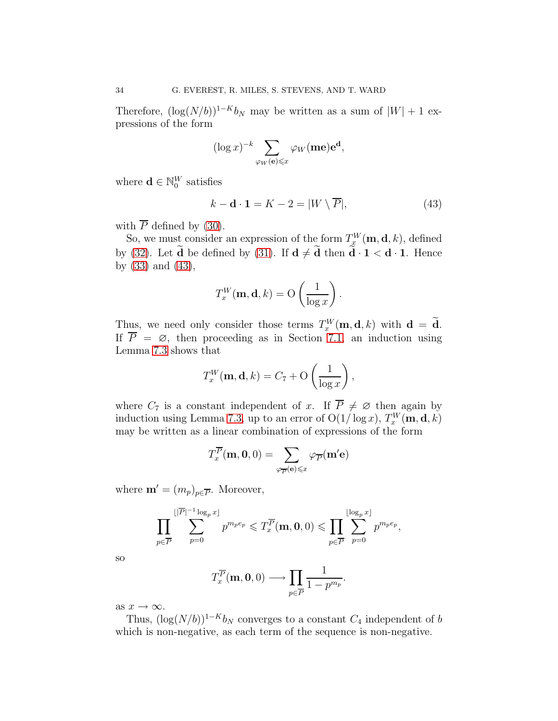Therefore,  $(\log(N/b))^{1-K}b_N$  may be written as a sum of  $|W| + 1$  expressions of the form

$$
(\log x)^{-k} \sum_{\varphi_W(\mathbf{e}) \leq x} \varphi_W(\mathbf{me}) \mathbf{e}^{\mathbf{d}},
$$

where  $\mathbf{d} \in \mathbb{N}_0^W$  satisfies

<span id="page-33-0"></span>
$$
k - \mathbf{d} \cdot \mathbf{1} = K - 2 = |W \setminus \overline{P}|,\tag{43}
$$

with  $\overline{P}$  defined by [\(30\)](#page-24-0).

So, we must consider an expression of the form  $T_{x}^{W}(\mathbf{m}, \mathbf{d}, k)$ , defined by [\(32\)](#page-24-1). Let  $\tilde{d}$  be defined by [\(31\)](#page-24-2). If  $d \neq \tilde{d}$  then  $\tilde{d} \cdot 1 < d \cdot 1$ . Hence by [\(33\)](#page-25-2) and [\(43\)](#page-33-0),

$$
T_x^W(\mathbf{m}, \mathbf{d}, k) = \mathcal{O}\left(\frac{1}{\log x}\right).
$$

Thus, we need only consider those terms  $T_x^W(\mathbf{m}, \mathbf{d}, k)$  with  $\mathbf{d} = \mathbf{d}$ . If  $P = \emptyset$ , then proceeding as in Section [7.1,](#page-23-1) an induction using Lemma [7.3](#page-25-4) shows that

$$
T_x^W(\mathbf{m}, \mathbf{d}, k) = C_7 + \mathcal{O}\left(\frac{1}{\log x}\right),\,
$$

where  $C_7$  is a constant independent of x. If  $P \neq \emptyset$  then again by induction using Lemma [7.3,](#page-25-4) up to an error of  $O(1/\log x)$ ,  $T_x^W(\mathbf{m}, \mathbf{d}, k)$ may be written as a linear combination of expressions of the form

$$
T_x^{\overline{P}}(\mathbf{m}, \mathbf{0}, 0) = \sum_{\varphi_{\overline{P}}(\mathbf{e}) \leqslant x} \varphi_{\overline{P}}(\mathbf{m}' \mathbf{e})
$$

where  $\mathbf{m}' = (m_p)_{p \in \overline{P}}$ . Moreover,

$$
\prod_{p\in\overline{P}}\sum_{p=0}^{\lfloor |\overline{P}|^{-1}\log_p x\rfloor}p^{m_p e_p}\leqslant T_x^{\overline{P}}(\mathbf{m},\mathbf{0},0)\leqslant \prod_{p\in\overline{P}}\sum_{p=0}^{\lfloor \log_p x\rfloor}p^{m_p e_p},
$$

so

$$
T_x^{\overline{P}}(\mathbf{m},\mathbf{0},0) \longrightarrow \prod_{p \in \overline{P}} \frac{1}{1-p^{m_p}}.
$$

as  $x \to \infty$ .

Thus,  $(\log(N/b))^{1-K}b_N$  converges to a constant  $C_4$  independent of b which is non-negative, as each term of the sequence is non-negative.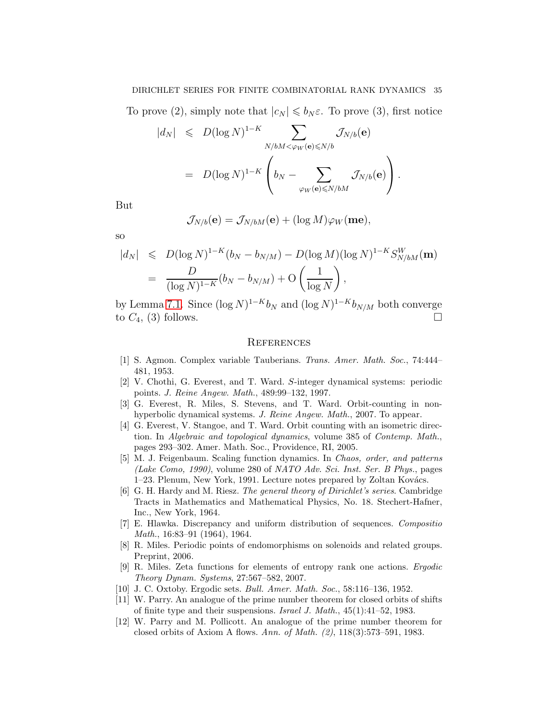#### DIRICHLET SERIES FOR FINITE COMBINATORIAL RANK DYNAMICS 35

To prove (2), simply note that  $|c_N| \leq b_N \varepsilon$ . To prove (3), first notice

$$
|d_N| \le D(\log N)^{1-K} \sum_{N/bM < \varphi_W(\mathbf{e}) \le N/b} \mathcal{J}_{N/b}(\mathbf{e})
$$
  
=  $D(\log N)^{1-K} \left(b_N - \sum_{\varphi_W(\mathbf{e}) \le N/bM} \mathcal{J}_{N/b}(\mathbf{e})\right).$ 

But

$$
\mathcal{J}_{N/b}(\mathbf{e}) = \mathcal{J}_{N/bM}(\mathbf{e}) + (\log M)\varphi_W(\mathbf{me}),
$$

so

$$
|d_N| \le D(\log N)^{1-K}(b_N - b_{N/M}) - D(\log M)(\log N)^{1-K} S_{N/bM}^W(\mathbf{m})
$$
  
= 
$$
\frac{D}{(\log N)^{1-K}}(b_N - b_{N/M}) + O\left(\frac{1}{\log N}\right),
$$

by Lemma [7.1.](#page-22-1) Since  $(\log N)^{1-K} b_N$  and  $(\log N)^{1-K} b_{N/M}$  both converge to  $C_4$ , (3) follows.

#### **REFERENCES**

- <span id="page-34-5"></span><span id="page-34-0"></span>[1] S. Agmon. Complex variable Tauberians. Trans. Amer. Math. Soc., 74:444– 481, 1953.
- <span id="page-34-4"></span>[2] V. Chothi, G. Everest, and T. Ward. S-integer dynamical systems: periodic points. J. Reine Angew. Math., 489:99–132, 1997.
- <span id="page-34-3"></span>[3] G. Everest, R. Miles, S. Stevens, and T. Ward. Orbit-counting in nonhyperbolic dynamical systems. J. Reine Angew. Math., 2007. To appear.
- <span id="page-34-11"></span>[4] G. Everest, V. Stangoe, and T. Ward. Orbit counting with an isometric direction. In Algebraic and topological dynamics, volume 385 of Contemp. Math., pages 293–302. Amer. Math. Soc., Providence, RI, 2005.
- <span id="page-34-9"></span>[5] M. J. Feigenbaum. Scaling function dynamics. In Chaos, order, and patterns (Lake Como, 1990), volume 280 of NATO Adv. Sci. Inst. Ser. B Phys., pages 1–23. Plenum, New York, 1991. Lecture notes prepared by Zoltan Kovács.
- <span id="page-34-6"></span>[6] G. H. Hardy and M. Riesz. The general theory of Dirichlet's series. Cambridge Tracts in Mathematics and Mathematical Physics, No. 18. Stechert-Hafner, Inc., New York, 1964.
- <span id="page-34-10"></span>[7] E. Hlawka. Discrepancy and uniform distribution of sequences. Compositio Math., 16:83–91 (1964), 1964.
- <span id="page-34-7"></span>[8] R. Miles. Periodic points of endomorphisms on solenoids and related groups. Preprint, 2006.
- <span id="page-34-8"></span>[9] R. Miles. Zeta functions for elements of entropy rank one actions. Ergodic Theory Dynam. Systems, 27:567–582, 2007.
- <span id="page-34-12"></span><span id="page-34-1"></span>[10] J. C. Oxtoby. Ergodic sets. Bull. Amer. Math. Soc., 58:116–136, 1952.
- [11] W. Parry. An analogue of the prime number theorem for closed orbits of shifts of finite type and their suspensions. Israel J. Math., 45(1):41–52, 1983.
- <span id="page-34-2"></span>[12] W. Parry and M. Pollicott. An analogue of the prime number theorem for closed orbits of Axiom A flows. Ann. of Math. (2), 118(3):573–591, 1983.